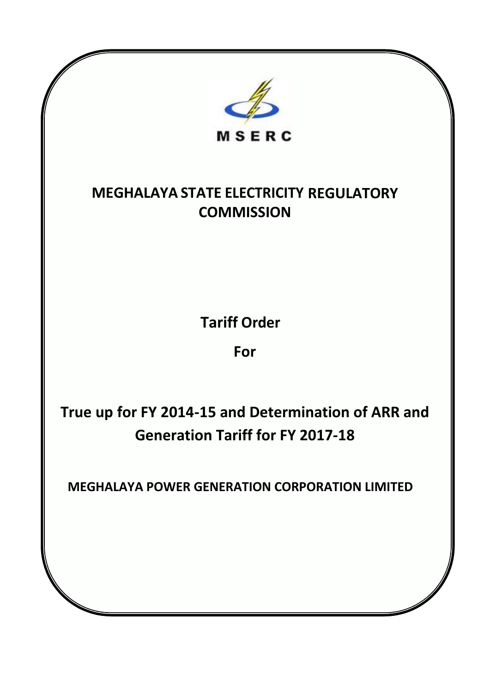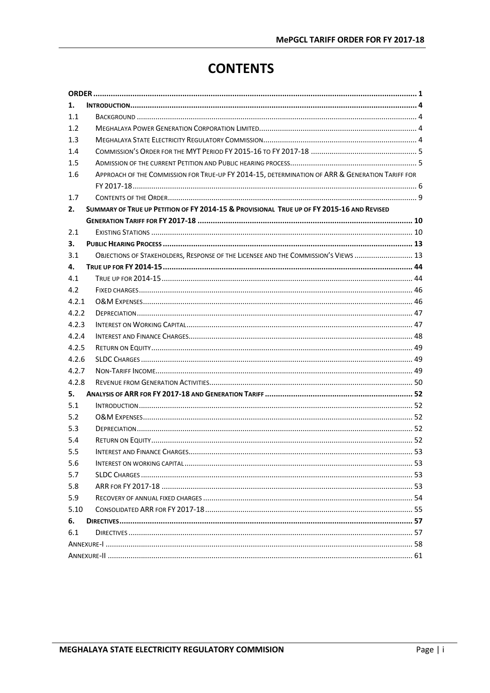# **CONTENTS**

| 1.    |                                                                                                 |
|-------|-------------------------------------------------------------------------------------------------|
| 1.1   |                                                                                                 |
| 1.2   |                                                                                                 |
| 1.3   |                                                                                                 |
| 1.4   |                                                                                                 |
| 1.5   |                                                                                                 |
| 1.6   | APPROACH OF THE COMMISSION FOR TRUE-UP FY 2014-15, DETERMINATION OF ARR & GENERATION TARIFF FOR |
|       |                                                                                                 |
| 1.7   |                                                                                                 |
| 2.    | SUMMARY OF TRUE UP PETITION OF FY 2014-15 & PROVISIONAL TRUE UP OF FY 2015-16 AND REVISED       |
|       |                                                                                                 |
| 2.1   |                                                                                                 |
| 3.    |                                                                                                 |
| 3.1   | OBJECTIONS OF STAKEHOLDERS, RESPONSE OF THE LICENSEE AND THE COMMISSION'S VIEWS  13             |
| 4.    |                                                                                                 |
| 4.1   |                                                                                                 |
| 4.2   |                                                                                                 |
| 4.2.1 |                                                                                                 |
| 4.2.2 |                                                                                                 |
| 4.2.3 |                                                                                                 |
| 4.2.4 |                                                                                                 |
| 4.2.5 |                                                                                                 |
| 4.2.6 |                                                                                                 |
| 4.2.7 |                                                                                                 |
| 4.2.8 |                                                                                                 |
| 5.    |                                                                                                 |
| 5.1   |                                                                                                 |
| 5.2   |                                                                                                 |
| 5.3   |                                                                                                 |
| 5.4   |                                                                                                 |
| 5.5   |                                                                                                 |
| 5.6   |                                                                                                 |
| 5.7   |                                                                                                 |
| 5.8   |                                                                                                 |
| 5.9   |                                                                                                 |
| 5.10  |                                                                                                 |
| 6.    |                                                                                                 |
| 6.1   |                                                                                                 |
|       |                                                                                                 |
|       |                                                                                                 |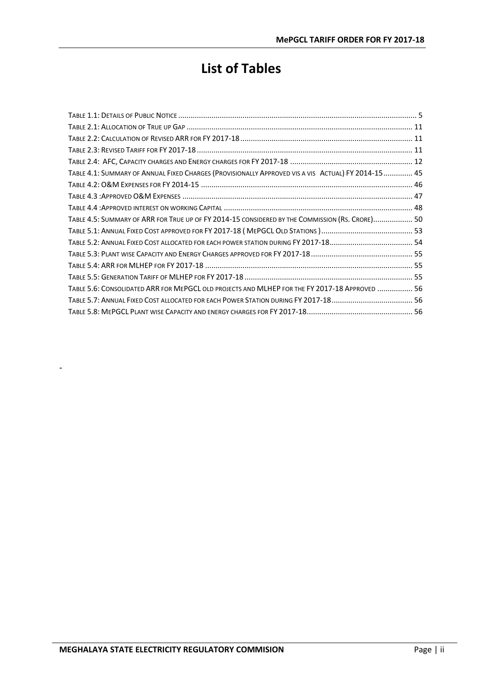# **List of Tables**

| TABLE 4.1: SUMMARY OF ANNUAL FIXED CHARGES (PROVISIONALLY APPROVED VIS A VIS ACTUAL) FY 2014-15  45 |
|-----------------------------------------------------------------------------------------------------|
|                                                                                                     |
|                                                                                                     |
|                                                                                                     |
| TABLE 4.5: SUMMARY OF ARR FOR TRUE UP OF FY 2014-15 CONSIDERED BY THE COMMISSION (RS. CRORE) 50     |
|                                                                                                     |
|                                                                                                     |
|                                                                                                     |
|                                                                                                     |
|                                                                                                     |
| TABLE 5.6: CONSOLIDATED ARR FOR MEPGCL OLD PROJECTS AND MLHEP FOR THE FY 2017-18 APPROVED  56       |
|                                                                                                     |
|                                                                                                     |

-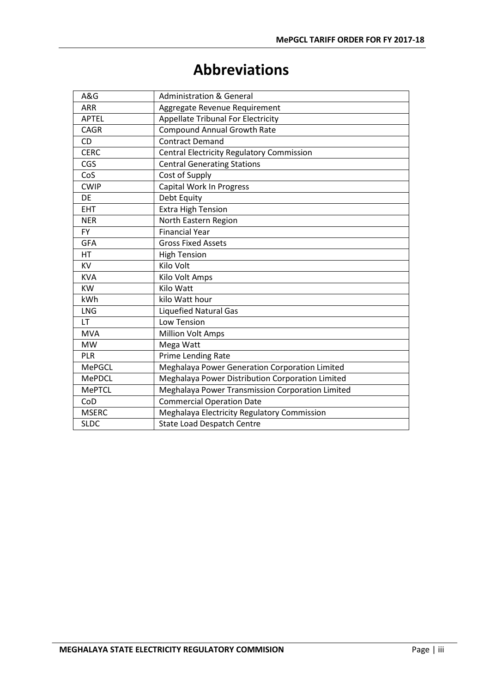# **Abbreviations**

| A&G           | <b>Administration &amp; General</b>              |
|---------------|--------------------------------------------------|
| <b>ARR</b>    | Aggregate Revenue Requirement                    |
| <b>APTEL</b>  | <b>Appellate Tribunal For Electricity</b>        |
| <b>CAGR</b>   | <b>Compound Annual Growth Rate</b>               |
| CD            | <b>Contract Demand</b>                           |
| <b>CERC</b>   | <b>Central Electricity Regulatory Commission</b> |
| CGS           | <b>Central Generating Stations</b>               |
| CoS           | Cost of Supply                                   |
| <b>CWIP</b>   | <b>Capital Work In Progress</b>                  |
| <b>DE</b>     | Debt Equity                                      |
| <b>EHT</b>    | <b>Extra High Tension</b>                        |
| <b>NER</b>    | North Eastern Region                             |
| <b>FY</b>     | <b>Financial Year</b>                            |
| <b>GFA</b>    | <b>Gross Fixed Assets</b>                        |
| НT            | <b>High Tension</b>                              |
| KV            | Kilo Volt                                        |
| <b>KVA</b>    | Kilo Volt Amps                                   |
| <b>KW</b>     | Kilo Watt                                        |
| kWh           | kilo Watt hour                                   |
| LNG           | <b>Liquefied Natural Gas</b>                     |
| LT            | Low Tension                                      |
| <b>MVA</b>    | <b>Million Volt Amps</b>                         |
| <b>MW</b>     | Mega Watt                                        |
| PLR           | Prime Lending Rate                               |
| <b>MePGCL</b> | Meghalaya Power Generation Corporation Limited   |
| <b>MePDCL</b> | Meghalaya Power Distribution Corporation Limited |
| <b>MePTCL</b> | Meghalaya Power Transmission Corporation Limited |
| CoD           | <b>Commercial Operation Date</b>                 |
| <b>MSERC</b>  | Meghalaya Electricity Regulatory Commission      |
| <b>SLDC</b>   | <b>State Load Despatch Centre</b>                |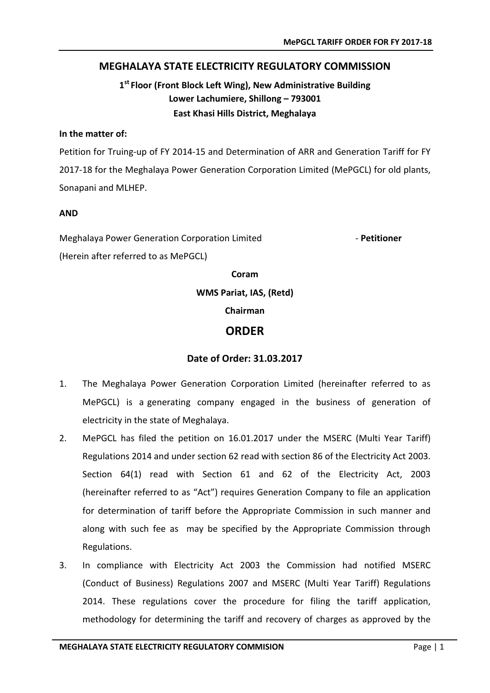#### **MEGHALAYA STATE ELECTRICITY REGULATORY COMMISSION**

### **1st Floor (Front Block Left Wing), New Administrative Building Lower Lachumiere, Shillong – 793001 East Khasi Hills District, Meghalaya**

#### **In the matter of:**

Petition for Truing-up of FY 2014-15 and Determination of ARR and Generation Tariff for FY 2017-18 for the Meghalaya Power Generation Corporation Limited (MePGCL) for old plants, Sonapani and MLHEP.

#### **AND**

Meghalaya Power Generation Corporation Limited - **Petitioner** (Herein after referred to as MePGCL)

#### **Coram**

**WMS Pariat, IAS, (Retd)**

#### **Chairman**

#### **ORDER**

#### **Date of Order: 31.03.2017**

- <span id="page-5-0"></span>1. The Meghalaya Power Generation Corporation Limited (hereinafter referred to as MePGCL) is a generating company engaged in the business of generation of electricity in the state of Meghalaya.
- 2. MePGCL has filed the petition on 16.01.2017 under the MSERC (Multi Year Tariff) Regulations 2014 and under section 62 read with section 86 of the Electricity Act 2003. Section 64(1) read with Section 61 and 62 of the Electricity Act, 2003 (hereinafter referred to as "Act") requires Generation Company to file an application for determination of tariff before the Appropriate Commission in such manner and along with such fee as may be specified by the Appropriate Commission through Regulations.
- 3. In compliance with Electricity Act 2003 the Commission had notified MSERC (Conduct of Business) Regulations 2007 and MSERC (Multi Year Tariff) Regulations 2014. These regulations cover the procedure for filing the tariff application, methodology for determining the tariff and recovery of charges as approved by the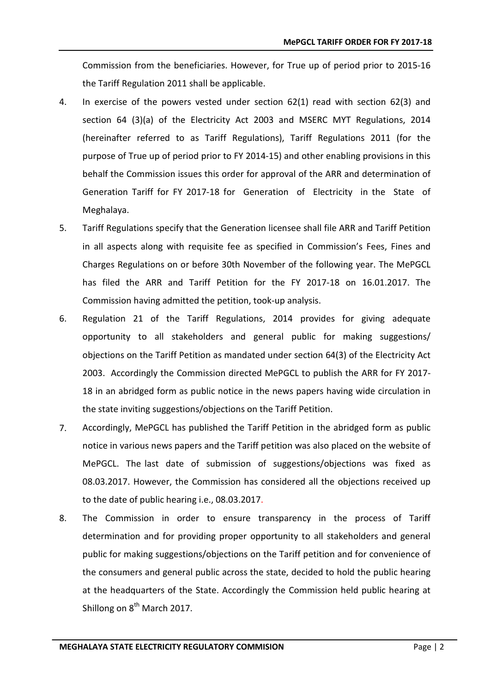Commission from the beneficiaries. However, for True up of period prior to 2015-16 the Tariff Regulation 2011 shall be applicable.

- 4. In exercise of the powers vested under section 62(1) read with section 62(3) and section 64 (3)(a) of the Electricity Act 2003 and MSERC MYT Regulations, 2014 (hereinafter referred to as Tariff Regulations), Tariff Regulations 2011 (for the purpose of True up of period prior to FY 2014-15) and other enabling provisions in this behalf the Commission issues this order for approval of the ARR and determination of Generation Tariff for FY 2017-18 for Generation of Electricity in the State of Meghalaya.
- 5. Tariff Regulations specify that the Generation licensee shall file ARR and Tariff Petition in all aspects along with requisite fee as specified in Commission's Fees, Fines and Charges Regulations on or before 30th November of the following year. The MePGCL has filed the ARR and Tariff Petition for the FY 2017-18 on 16.01.2017. The Commission having admitted the petition, took-up analysis.
- 6. Regulation 21 of the Tariff Regulations, 2014 provides for giving adequate opportunity to all stakeholders and general public for making suggestions/ objections on the Tariff Petition as mandated under section 64(3) of the Electricity Act 2003. Accordingly the Commission directed MePGCL to publish the ARR for FY 2017- 18 in an abridged form as public notice in the news papers having wide circulation in the state inviting suggestions/objections on the Tariff Petition.
- 7. Accordingly, MePGCL has published the Tariff Petition in the abridged form as public notice in various news papers and the Tariff petition was also placed on the website of MePGCL. The last date of submission of suggestions/objections was fixed as 08.03.2017. However, the Commission has considered all the objections received up to the date of public hearing i.e., 08.03.2017.
- 8. The Commission in order to ensure transparency in the process of Tariff determination and for providing proper opportunity to all stakeholders and general public for making suggestions/objections on the Tariff petition and for convenience of the consumers and general public across the state, decided to hold the public hearing at the headquarters of the State. Accordingly the Commission held public hearing at Shillong on 8<sup>th</sup> March 2017.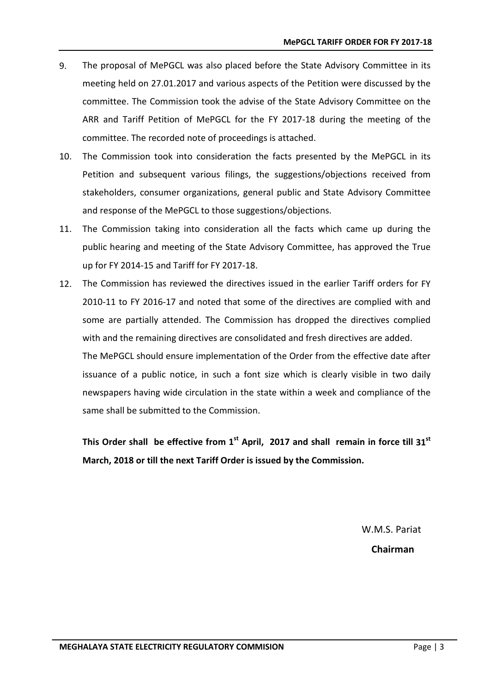- 9. The proposal of MePGCL was also placed before the State Advisory Committee in its meeting held on 27.01.2017 and various aspects of the Petition were discussed by the committee. The Commission took the advise of the State Advisory Committee on the ARR and Tariff Petition of MePGCL for the FY 2017-18 during the meeting of the committee. The recorded note of proceedings is attached.
- 10. The Commission took into consideration the facts presented by the MePGCL in its Petition and subsequent various filings, the suggestions/objections received from stakeholders, consumer organizations, general public and State Advisory Committee and response of the MePGCL to those suggestions/objections.
- 11. The Commission taking into consideration all the facts which came up during the public hearing and meeting of the State Advisory Committee, has approved the True up for FY 2014-15 and Tariff for FY 2017-18.
- 12. The Commission has reviewed the directives issued in the earlier Tariff orders for FY 2010-11 to FY 2016-17 and noted that some of the directives are complied with and some are partially attended. The Commission has dropped the directives complied with and the remaining directives are consolidated and fresh directives are added. The MePGCL should ensure implementation of the Order from the effective date after

issuance of a public notice, in such a font size which is clearly visible in two daily newspapers having wide circulation in the state within a week and compliance of the same shall be submitted to the Commission.

This Order shall be effective from 1<sup>st</sup> April, 2017 and shall remain in force till 31<sup>st</sup> **March, 2018 or till the next Tariff Order is issued by the Commission.**

> W.M.S. Pariat **Chairman**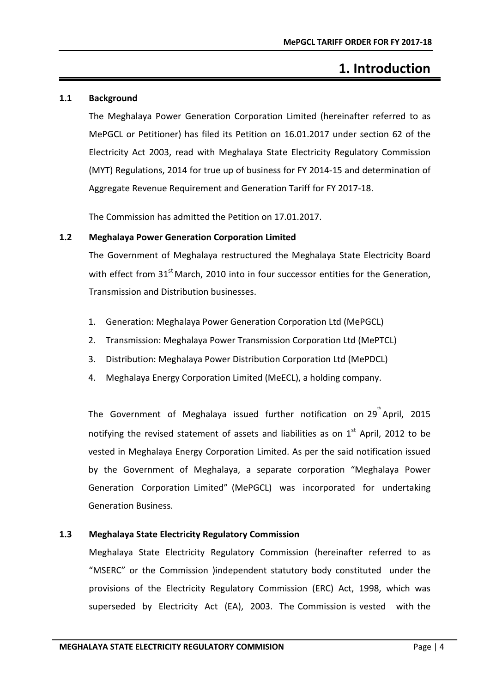# **1. Introduction**

#### <span id="page-8-1"></span><span id="page-8-0"></span>**1.1 Background**

The Meghalaya Power Generation Corporation Limited (hereinafter referred to as MePGCL or Petitioner) has filed its Petition on 16.01.2017 under section 62 of the Electricity Act 2003, read with Meghalaya State Electricity Regulatory Commission (MYT) Regulations, 2014 for true up of business for FY 2014-15 and determination of Aggregate Revenue Requirement and Generation Tariff for FY 2017-18.

The Commission has admitted the Petition on 17.01.2017.

#### <span id="page-8-2"></span>**1.2 Meghalaya Power Generation Corporation Limited**

The Government of Meghalaya restructured the Meghalaya State Electricity Board with effect from  $31<sup>st</sup>$  March, 2010 into in four successor entities for the Generation, Transmission and Distribution businesses.

- 1. Generation: Meghalaya Power Generation Corporation Ltd (MePGCL)
- 2. Transmission: Meghalaya Power Transmission Corporation Ltd (MePTCL)
- 3. Distribution: Meghalaya Power Distribution Corporation Ltd (MePDCL)
- 4. Meghalaya Energy Corporation Limited (MeECL), a holding company.

The Government of Meghalaya issued further notification on 29  $P^*$ April, 2015 notifying the revised statement of assets and liabilities as on  $1<sup>st</sup>$  April, 2012 to be vested in Meghalaya Energy Corporation Limited. As per the said notification issued by the Government of Meghalaya, a separate corporation "Meghalaya Power Generation Corporation Limited" (MePGCL) was incorporated for undertaking Generation Business.

#### <span id="page-8-3"></span>**1.3 Meghalaya State Electricity Regulatory Commission**

Meghalaya State Electricity Regulatory Commission (hereinafter referred to as "MSERC" or the Commission )independent statutory body constituted under the provisions of the Electricity Regulatory Commission (ERC) Act, 1998, which was superseded by Electricity Act (EA), 2003. The Commission is vested with the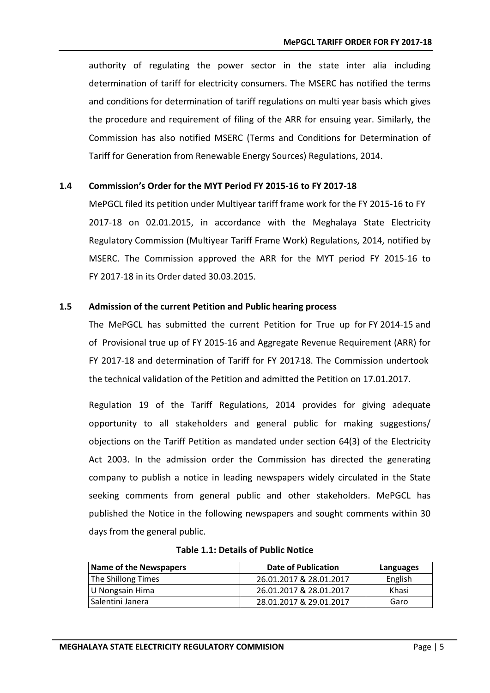authority of regulating the power sector in the state inter alia including determination of tariff for electricity consumers. The MSERC has notified the terms and conditions for determination of tariff regulations on multi year basis which gives the procedure and requirement of filing of the ARR for ensuing year. Similarly, the Commission has also notified MSERC (Terms and Conditions for Determination of Tariff for Generation from Renewable Energy Sources) Regulations, 2014.

#### <span id="page-9-0"></span>**1.4 Commission's Order for the MYT Period FY 2015-16 to FY 2017-18**

MePGCL filed its petition under Multiyear tariff frame work for the FY 2015-16 to FY 2017-18 on 02.01.2015, in accordance with the Meghalaya State Electricity Regulatory Commission (Multiyear Tariff Frame Work) Regulations, 2014, notified by MSERC. The Commission approved the ARR for the MYT period FY 2015-16 to FY 2017-18 in its Order dated 30.03.2015.

#### <span id="page-9-1"></span>**1.5 Admission of the current Petition and Public hearing process**

The MePGCL has submitted the current Petition for True up for FY 2014-15 and of Provisional true up of FY 2015-16 and Aggregate Revenue Requirement (ARR) for FY 2017-18 and determination of Tariff for FY 2017-18. The Commission undertook the technical validation of the Petition and admitted the Petition on 17.01.2017.

Regulation 19 of the Tariff Regulations, 2014 provides for giving adequate opportunity to all stakeholders and general public for making suggestions/ objections on the Tariff Petition as mandated under section 64(3) of the Electricity Act 2003. In the admission order the Commission has directed the generating company to publish a notice in leading newspapers widely circulated in the State seeking comments from general public and other stakeholders. MePGCL has published the Notice in the following newspapers and sought comments within 30 days from the general public.

<span id="page-9-2"></span>

| Name of the Newspapers | Date of Publication     | Languages |
|------------------------|-------------------------|-----------|
| The Shillong Times     | 26.01.2017 & 28.01.2017 | English   |
| U Nongsain Hima        | 26.01.2017 & 28.01.2017 | Khasi     |
| Salentini Janera       | 28.01.2017 & 29.01.2017 | Garo      |

#### **Table 1.1: Details of Public Notice**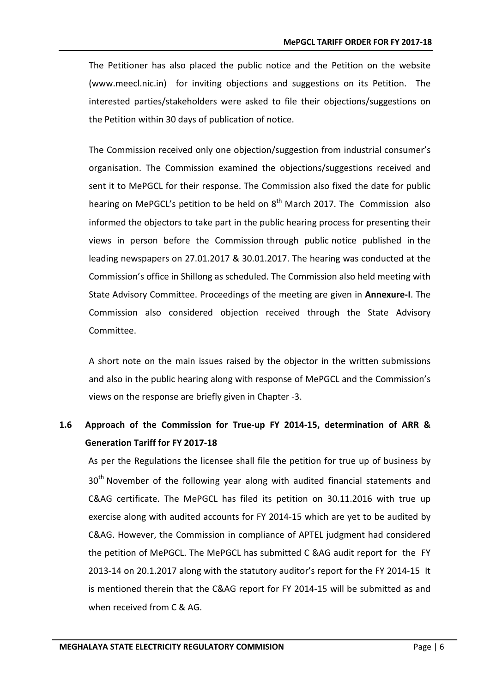The Petitioner has also placed the public notice and the Petition on the website [\(www.meecl.nic.in\)](http://www.meecl.nic.in) for inviting objections and suggestions on its Petition. The interested parties/stakeholders were asked to file their objections/suggestions on the Petition within 30 days of publication of notice.

The Commission received only one objection/suggestion from industrial consumer's organisation. The Commission examined the objections/suggestions received and sent it to MePGCL for their response. The Commission also fixed the date for public hearing on MePGCL's petition to be held on  $8<sup>th</sup>$  March 2017. The Commission also informed the objectors to take part in the public hearing process for presenting their views in person before the Commission through public notice published in the leading newspapers on 27.01.2017 & 30.01.2017. The hearing was conducted at the Commission's office in Shillong as scheduled. The Commission also held meeting with State Advisory Committee. Proceedings of the meeting are given in **Annexure-I**. The Commission also considered objection received through the State Advisory Committee.

A short note on the main issues raised by the objector in the written submissions and also in the public hearing along with response of MePGCL and the Commission's views on the response are briefly given in Chapter -3.

### <span id="page-10-0"></span>**1.6 Approach of the Commission for True-up FY 2014-15, determination of ARR & Generation Tariff for FY 2017-18**

As per the Regulations the licensee shall file the petition for true up of business by 30<sup>th</sup> November of the following year along with audited financial statements and C&AG certificate. The MePGCL has filed its petition on 30.11.2016 with true up exercise along with audited accounts for FY 2014-15 which are yet to be audited by C&AG. However, the Commission in compliance of APTEL judgment had considered the petition of MePGCL. The MePGCL has submitted C &AG audit report for the FY 2013-14 on 20.1.2017 along with the statutory auditor's report for the FY 2014-15 It is mentioned therein that the C&AG report for FY 2014-15 will be submitted as and when received from C & AG.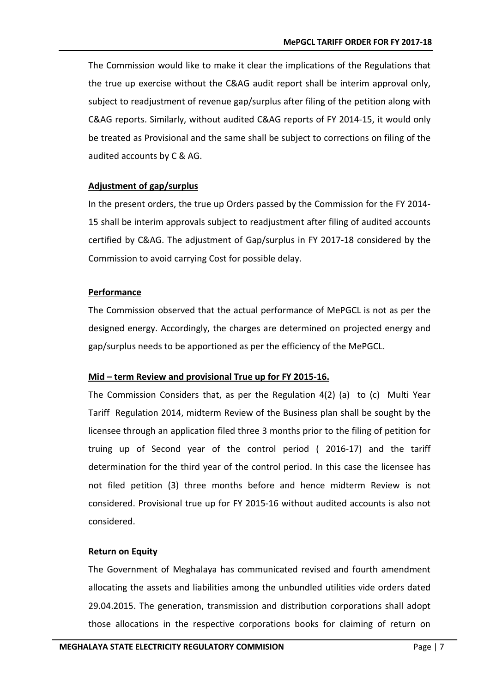The Commission would like to make it clear the implications of the Regulations that the true up exercise without the C&AG audit report shall be interim approval only, subject to readjustment of revenue gap/surplus after filing of the petition along with C&AG reports. Similarly, without audited C&AG reports of FY 2014-15, it would only be treated as Provisional and the same shall be subject to corrections on filing of the audited accounts by C & AG.

#### **Adjustment of gap/surplus**

In the present orders, the true up Orders passed by the Commission for the FY 2014- 15 shall be interim approvals subject to readjustment after filing of audited accounts certified by C&AG. The adjustment of Gap/surplus in FY 2017-18 considered by the Commission to avoid carrying Cost for possible delay.

#### **Performance**

The Commission observed that the actual performance of MePGCL is not as per the designed energy. Accordingly, the charges are determined on projected energy and gap/surplus needs to be apportioned as per the efficiency of the MePGCL.

#### **Mid – term Review and provisional True up for FY 2015-16.**

The Commission Considers that, as per the Regulation 4(2) (a) to (c) Multi Year Tariff Regulation 2014, midterm Review of the Business plan shall be sought by the licensee through an application filed three 3 months prior to the filing of petition for truing up of Second year of the control period ( 2016-17) and the tariff determination for the third year of the control period. In this case the licensee has not filed petition (3) three months before and hence midterm Review is not considered. Provisional true up for FY 2015-16 without audited accounts is also not considered.

#### **Return on Equity**

The Government of Meghalaya has communicated revised and fourth amendment allocating the assets and liabilities among the unbundled utilities vide orders dated 29.04.2015. The generation, transmission and distribution corporations shall adopt those allocations in the respective corporations books for claiming of return on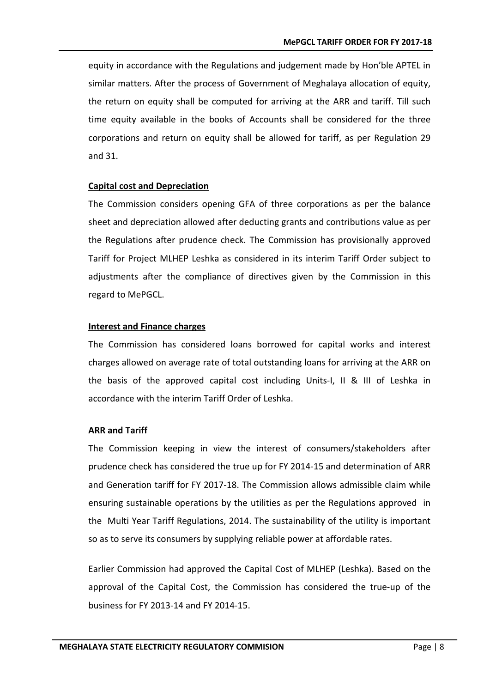equity in accordance with the Regulations and judgement made by Hon'ble APTEL in similar matters. After the process of Government of Meghalaya allocation of equity, the return on equity shall be computed for arriving at the ARR and tariff. Till such time equity available in the books of Accounts shall be considered for the three corporations and return on equity shall be allowed for tariff, as per Regulation 29 and 31.

#### **Capital cost and Depreciation**

The Commission considers opening GFA of three corporations as per the balance sheet and depreciation allowed after deducting grants and contributions value as per the Regulations after prudence check. The Commission has provisionally approved Tariff for Project MLHEP Leshka as considered in its interim Tariff Order subject to adjustments after the compliance of directives given by the Commission in this regard to MePGCL.

#### **Interest and Finance charges**

The Commission has considered loans borrowed for capital works and interest charges allowed on average rate of total outstanding loans for arriving at the ARR on the basis of the approved capital cost including Units-I, II & III of Leshka in accordance with the interim Tariff Order of Leshka.

#### **ARR and Tariff**

The Commission keeping in view the interest of consumers/stakeholders after prudence check has considered the true up for FY 2014-15 and determination of ARR and Generation tariff for FY 2017-18. The Commission allows admissible claim while ensuring sustainable operations by the utilities as per the Regulations approved in the Multi Year Tariff Regulations, 2014. The sustainability of the utility is important so as to serve its consumers by supplying reliable power at affordable rates.

Earlier Commission had approved the Capital Cost of MLHEP (Leshka). Based on the approval of the Capital Cost, the Commission has considered the true-up of the business for FY 2013-14 and FY 2014-15.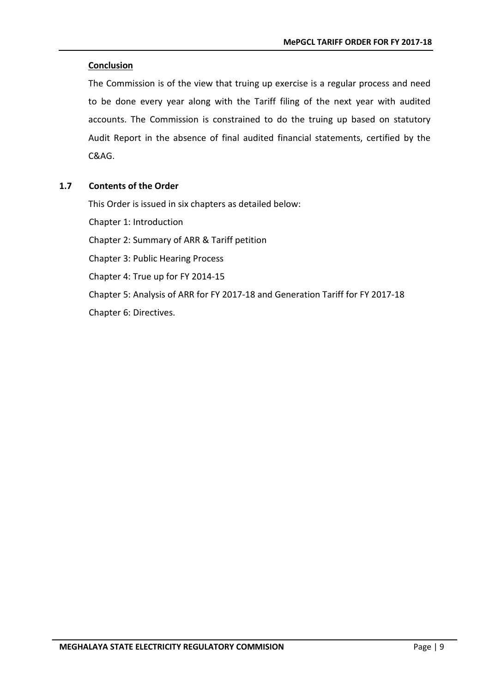#### **Conclusion**

The Commission is of the view that truing up exercise is a regular process and need to be done every year along with the Tariff filing of the next year with audited accounts. The Commission is constrained to do the truing up based on statutory Audit Report in the absence of final audited financial statements, certified by the C&AG.

#### <span id="page-13-0"></span>**1.7 Contents of the Order**

This Order is issued in six chapters as detailed below:

Chapter 1: Introduction

Chapter 2: Summary of ARR & Tariff petition

Chapter 3: Public Hearing Process

Chapter 4: True up for FY 2014-15

Chapter 5: Analysis of ARR for FY 2017-18 and Generation Tariff for FY 2017-18

Chapter 6: Directives.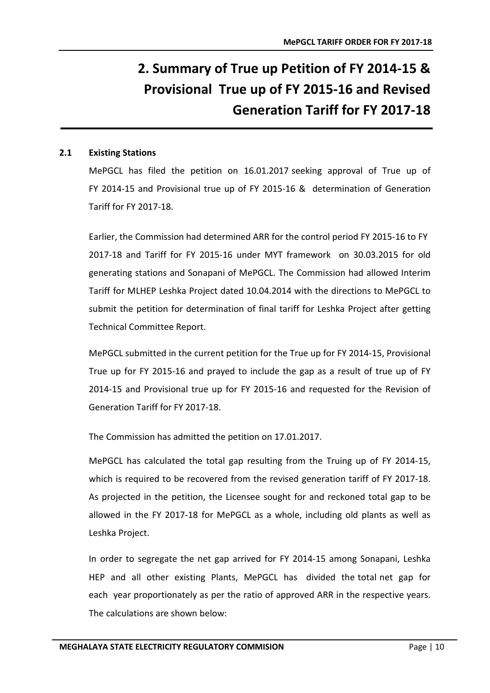# <span id="page-14-0"></span>**2. Summary of True up Petition of FY 2014-15 & Provisional True up of FY 2015-16 and Revised Generation Tariff for FY 2017-18**

#### <span id="page-14-1"></span>**2.1 Existing Stations**

MePGCL has filed the petition on 16.01.2017 seeking approval of True up of FY 2014-15 and Provisional true up of FY 2015-16 & determination of Generation Tariff for FY 2017-18.

Earlier, the Commission had determined ARR for the control period FY 2015-16 to FY 2017-18 and Tariff for FY 2015-16 under MYT framework on 30.03.2015 for old generating stations and Sonapani of MePGCL. The Commission had allowed Interim Tariff for MLHEP Leshka Project dated 10.04.2014 with the directions to MePGCL to submit the petition for determination of final tariff for Leshka Project after getting Technical Committee Report.

MePGCL submitted in the current petition for the True up for FY 2014-15, Provisional True up for FY 2015-16 and prayed to include the gap as a result of true up of FY 2014-15 and Provisional true up for FY 2015-16 and requested for the Revision of Generation Tariff for FY 2017-18.

The Commission has admitted the petition on 17.01.2017.

MePGCL has calculated the total gap resulting from the Truing up of FY 2014-15, which is required to be recovered from the revised generation tariff of FY 2017-18. As projected in the petition, the Licensee sought for and reckoned total gap to be allowed in the FY 2017-18 for MePGCL as a whole, including old plants as well as Leshka Project.

In order to segregate the net gap arrived for FY 2014-15 among Sonapani, Leshka HEP and all other existing Plants, MePGCL has divided the total net gap for each year proportionately as per the ratio of approved ARR in the respective years. The calculations are shown below: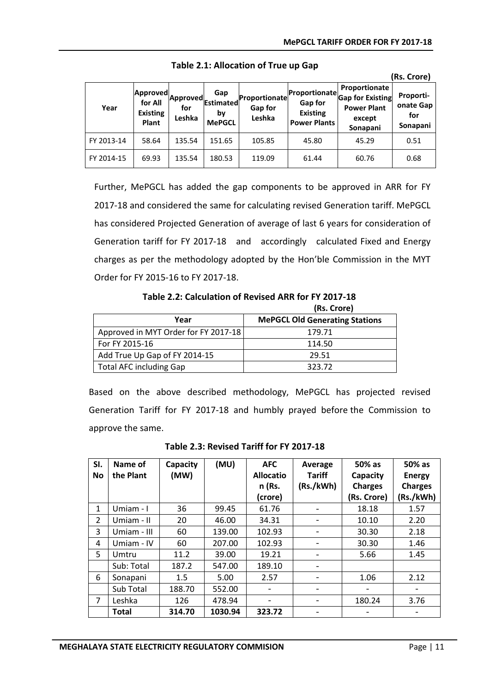**(Rs. Crore)**

<span id="page-15-0"></span>

| Year       | <b>Approved</b><br>for All<br><b>Existing</b><br>Plant | <b>Approved</b><br>for<br>Leshka | Gap<br>Estimated<br>by<br><b>MePGCL</b> | Proportionate<br>Gap for<br>Leshka | Proportionate<br>Gap for<br><b>Existing</b><br><b>Power Plants</b> | Proportionate<br><b>Gap for Existing</b><br><b>Power Plant</b><br>except<br>Sonapani | (RS. CIUIE)<br>Proporti-<br>onate Gap<br>for<br>Sonapani |
|------------|--------------------------------------------------------|----------------------------------|-----------------------------------------|------------------------------------|--------------------------------------------------------------------|--------------------------------------------------------------------------------------|----------------------------------------------------------|
| FY 2013-14 | 58.64                                                  | 135.54                           | 151.65                                  | 105.85                             | 45.80                                                              | 45.29                                                                                | 0.51                                                     |
| FY 2014-15 | 69.93                                                  | 135.54                           | 180.53                                  | 119.09                             | 61.44                                                              | 60.76                                                                                | 0.68                                                     |

**Table 2.1: Allocation of True up Gap**

Further, MePGCL has added the gap components to be approved in ARR for FY 2017-18 and considered the same for calculating revised Generation tariff. MePGCL has considered Projected Generation of average of last 6 years for consideration of Generation tariff for FY 2017-18 and accordingly calculated Fixed and Energy charges as per the methodology adopted by the Hon'ble Commission in the MYT Order for FY 2015-16 to FY 2017-18.

<span id="page-15-1"></span> **Table 2.2: Calculation of Revised ARR for FY 2017-18** 

|                                      | (Rs. Crore)                           |
|--------------------------------------|---------------------------------------|
| Year                                 | <b>MePGCL Old Generating Stations</b> |
| Approved in MYT Order for FY 2017-18 | 179.71                                |
| For FY 2015-16                       | 114.50                                |
| Add True Up Gap of FY 2014-15        | 29.51                                 |
| <b>Total AFC including Gap</b>       | 323.72                                |

Based on the above described methodology, MePGCL has projected revised Generation Tariff for FY 2017-18 and humbly prayed before the Commission to approve the same.

<span id="page-15-2"></span>

| SI.<br><b>No</b>         | Name of<br>the Plant | Capacity<br>(MW) | (MU)    | <b>AFC</b><br><b>Allocatio</b><br>n (Rs.<br>(crore) | Average<br><b>Tariff</b><br>(Rs./kWh) | 50% as<br>Capacity<br><b>Charges</b><br>(Rs. Crore) | 50% as<br><b>Energy</b><br><b>Charges</b><br>(Rs./kWh) |
|--------------------------|----------------------|------------------|---------|-----------------------------------------------------|---------------------------------------|-----------------------------------------------------|--------------------------------------------------------|
| 1                        | Umiam - I            | 36               | 99.45   | 61.76                                               |                                       | 18.18                                               | 1.57                                                   |
| $\overline{\phantom{a}}$ | Umiam - II           | 20               | 46.00   | 34.31                                               |                                       | 10.10                                               | 2.20                                                   |
| 3                        | Umiam - III          | 60               | 139.00  | 102.93                                              |                                       | 30.30                                               | 2.18                                                   |
| 4                        | Umiam - IV           | 60               | 207.00  | 102.93                                              | $\overline{\phantom{a}}$              | 30.30                                               | 1.46                                                   |
| 5                        | Umtru                | 11.2             | 39.00   | 19.21                                               |                                       | 5.66                                                | 1.45                                                   |
|                          | Sub: Total           | 187.2            | 547.00  | 189.10                                              |                                       |                                                     |                                                        |
| 6                        | Sonapani             | 1.5              | 5.00    | 2.57                                                |                                       | 1.06                                                | 2.12                                                   |
|                          | Sub Total            | 188.70           | 552.00  | $\overline{\phantom{a}}$                            | -                                     | $\overline{\phantom{a}}$                            |                                                        |
| 7                        | Leshka               | 126              | 478.94  | $\qquad \qquad$                                     |                                       | 180.24                                              | 3.76                                                   |
|                          | <b>Total</b>         | 314.70           | 1030.94 | 323.72                                              |                                       |                                                     |                                                        |

**Table 2.3: Revised Tariff for FY 2017-18**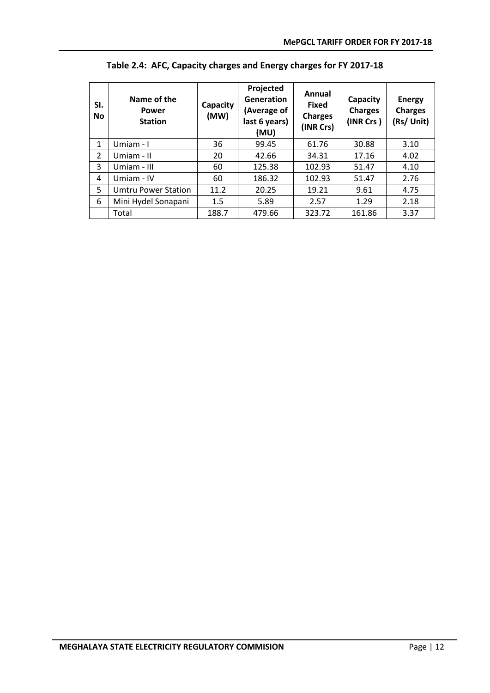<span id="page-16-0"></span>

| SI.<br><b>No</b> | Name of the<br>Power<br><b>Station</b> | Capacity<br>(MW) | Projected<br>Generation<br>(Average of<br>last 6 years)<br>(MU) | Annual<br><b>Fixed</b><br><b>Charges</b><br>(INR Crs) | Capacity<br><b>Charges</b><br>(INR Crs) | <b>Energy</b><br><b>Charges</b><br>(Rs/ Unit) |
|------------------|----------------------------------------|------------------|-----------------------------------------------------------------|-------------------------------------------------------|-----------------------------------------|-----------------------------------------------|
| 1                | Umiam - I                              | 36               | 99.45                                                           | 61.76                                                 | 30.88                                   | 3.10                                          |
| 2                | Umiam - II                             | 20               | 42.66                                                           | 34.31                                                 | 17.16                                   | 4.02                                          |
| 3                | Umiam - III                            | 60               | 125.38                                                          | 102.93                                                | 51.47                                   | 4.10                                          |
| 4                | Umiam - IV                             | 60               | 186.32                                                          | 102.93                                                | 51.47                                   | 2.76                                          |
| 5                | <b>Umtru Power Station</b>             | 11.2             | 20.25                                                           | 19.21                                                 | 9.61                                    | 4.75                                          |
| 6                | Mini Hydel Sonapani                    | 1.5              | 5.89                                                            | 2.57                                                  | 1.29                                    | 2.18                                          |
|                  | Total                                  | 188.7            | 479.66                                                          | 323.72                                                | 161.86                                  | 3.37                                          |

**Table 2.4: AFC, Capacity charges and Energy charges for FY 2017-18**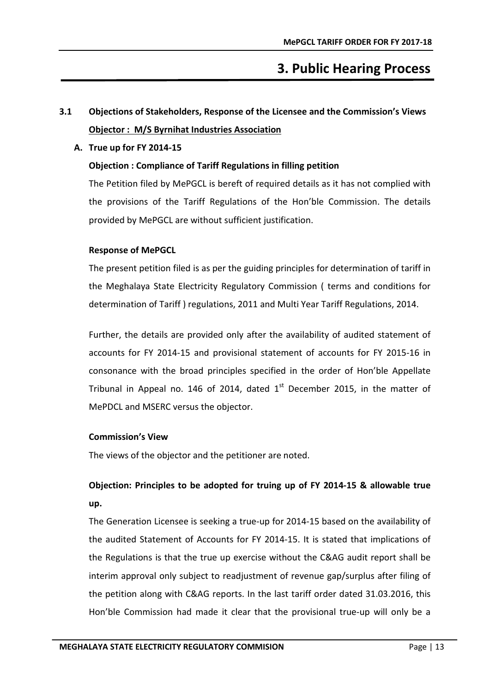# **3. Public Hearing Process**

## <span id="page-17-1"></span><span id="page-17-0"></span>**3.1 Objections of Stakeholders, Response of the Licensee and the Commission's Views Objector : M/S Byrnihat Industries Association**

#### **A. True up for FY 2014-15**

#### **Objection : Compliance of Tariff Regulations in filling petition**

The Petition filed by MePGCL is bereft of required details as it has not complied with the provisions of the Tariff Regulations of the Hon'ble Commission. The details provided by MePGCL are without sufficient justification.

#### **Response of MePGCL**

The present petition filed is as per the guiding principles for determination of tariff in the Meghalaya State Electricity Regulatory Commission ( terms and conditions for determination of Tariff ) regulations, 2011 and Multi Year Tariff Regulations, 2014.

Further, the details are provided only after the availability of audited statement of accounts for FY 2014-15 and provisional statement of accounts for FY 2015-16 in consonance with the broad principles specified in the order of Hon'ble Appellate Tribunal in Appeal no. 146 of 2014, dated  $1<sup>st</sup>$  December 2015, in the matter of MePDCL and MSERC versus the objector.

#### **Commission's View**

The views of the objector and the petitioner are noted.

## **Objection: Principles to be adopted for truing up of FY 2014-15 & allowable true up.**

The Generation Licensee is seeking a true-up for 2014-15 based on the availability of the audited Statement of Accounts for FY 2014-15. It is stated that implications of the Regulations is that the true up exercise without the C&AG audit report shall be interim approval only subject to readjustment of revenue gap/surplus after filing of the petition along with C&AG reports. In the last tariff order dated 31.03.2016, this Hon'ble Commission had made it clear that the provisional true-up will only be a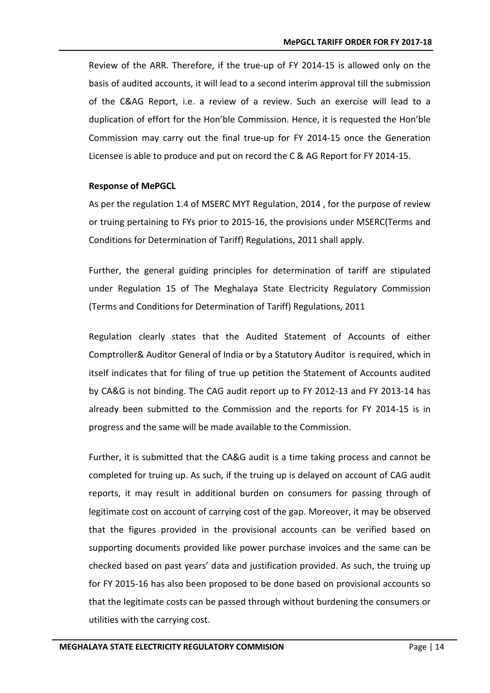Review of the ARR. Therefore, if the true-up of FY 2014-15 is allowed only on the basis of audited accounts, it will lead to a second interim approval till the submission of the C&AG Report, i.e. a review of a review. Such an exercise will lead to a duplication of effort for the Hon'ble Commission. Hence, it is requested the Hon'ble Commission may carry out the final true-up for FY 2014-15 once the Generation Licensee is able to produce and put on record the C & AG Report for FY 2014-15.

#### **Response of MePGCL**

As per the regulation 1.4 of MSERC MYT Regulation, 2014 , for the purpose of review or truing pertaining to FYs prior to 2015-16, the provisions under MSERC(Terms and Conditions for Determination of Tariff) Regulations, 2011 shall apply.

Further, the general guiding principles for determination of tariff are stipulated under Regulation 15 of The Meghalaya State Electricity Regulatory Commission (Terms and Conditions for Determination of Tariff) Regulations, 2011

Regulation clearly states that the Audited Statement of Accounts of either Comptroller& Auditor General of India or by a Statutory Auditor is required, which in itself indicates that for filing of true up petition the Statement of Accounts audited by CA&G is not binding. The CAG audit report up to FY 2012-13 and FY 2013-14 has already been submitted to the Commission and the reports for FY 2014-15 is in progress and the same will be made available to the Commission.

Further, it is submitted that the CA&G audit is a time taking process and cannot be completed for truing up. As such, if the truing up is delayed on account of CAG audit reports, it may result in additional burden on consumers for passing through of legitimate cost on account of carrying cost of the gap. Moreover, it may be observed that the figures provided in the provisional accounts can be verified based on supporting documents provided like power purchase invoices and the same can be checked based on past years' data and justification provided. As such, the truing up for FY 2015-16 has also been proposed to be done based on provisional accounts so that the legitimate costs can be passed through without burdening the consumers or utilities with the carrying cost.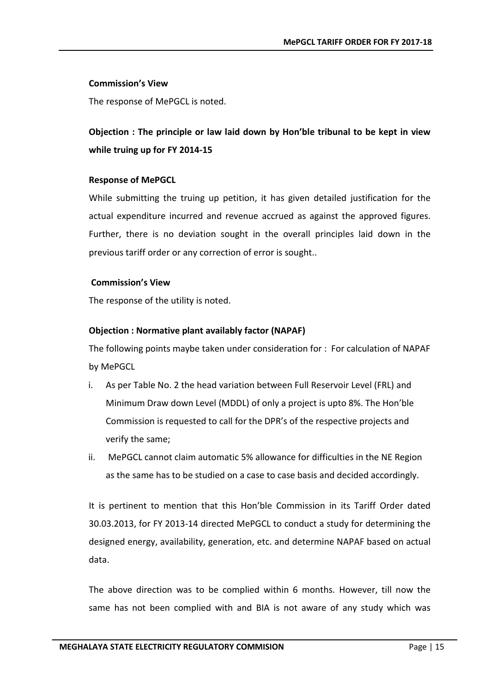#### **Commission's View**

The response of MePGCL is noted.

### **Objection : The principle or law laid down by Hon'ble tribunal to be kept in view while truing up for FY 2014-15**

#### **Response of MePGCL**

While submitting the truing up petition, it has given detailed justification for the actual expenditure incurred and revenue accrued as against the approved figures. Further, there is no deviation sought in the overall principles laid down in the previous tariff order or any correction of error is sought..

#### **Commission's View**

The response of the utility is noted.

#### **Objection : Normative plant availably factor (NAPAF)**

The following points maybe taken under consideration for : For calculation of NAPAF by MePGCL

- i. As per Table No. 2 the head variation between Full Reservoir Level (FRL) and Minimum Draw down Level (MDDL) of only a project is upto 8%. The Hon'ble Commission is requested to call for the DPR's of the respective projects and verify the same;
- ii. MePGCL cannot claim automatic 5% allowance for difficulties in the NE Region as the same has to be studied on a case to case basis and decided accordingly.

It is pertinent to mention that this Hon'ble Commission in its Tariff Order dated 30.03.2013, for FY 2013-14 directed MePGCL to conduct a study for determining the designed energy, availability, generation, etc. and determine NAPAF based on actual data.

The above direction was to be complied within 6 months. However, till now the same has not been complied with and BIA is not aware of any study which was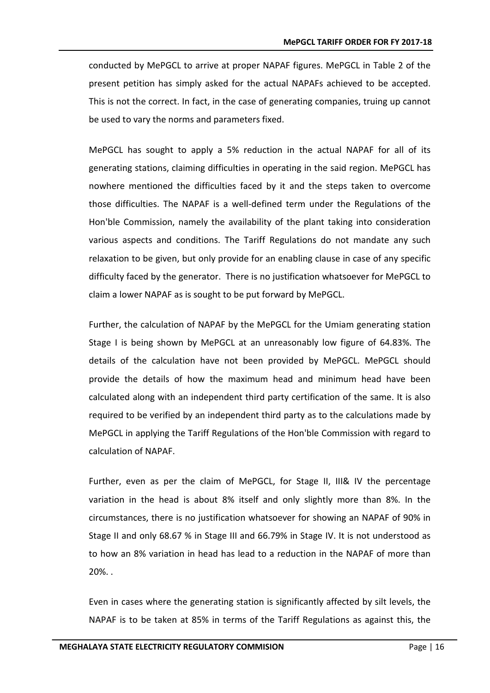conducted by MePGCL to arrive at proper NAPAF figures. MePGCL in Table 2 of the present petition has simply asked for the actual NAPAFs achieved to be accepted. This is not the correct. In fact, in the case of generating companies, truing up cannot be used to vary the norms and parameters fixed.

MePGCL has sought to apply a 5% reduction in the actual NAPAF for all of its generating stations, claiming difficulties in operating in the said region. MePGCL has nowhere mentioned the difficulties faced by it and the steps taken to overcome those difficulties. The NAPAF is a well-defined term under the Regulations of the Hon'ble Commission, namely the availability of the plant taking into consideration various aspects and conditions. The Tariff Regulations do not mandate any such relaxation to be given, but only provide for an enabling clause in case of any specific difficulty faced by the generator. There is no justification whatsoever for MePGCL to claim a lower NAPAF as is sought to be put forward by MePGCL.

Further, the calculation of NAPAF by the MePGCL for the Umiam generating station Stage I is being shown by MePGCL at an unreasonably low figure of 64.83%. The details of the calculation have not been provided by MePGCL. MePGCL should provide the details of how the maximum head and minimum head have been calculated along with an independent third party certification of the same. It is also required to be verified by an independent third party as to the calculations made by MePGCL in applying the Tariff Regulations of the Hon'ble Commission with regard to calculation of NAPAF.

Further, even as per the claim of MePGCL, for Stage II, III& IV the percentage variation in the head is about 8% itself and only slightly more than 8%. In the circumstances, there is no justification whatsoever for showing an NAPAF of 90% in Stage II and only 68.67 % in Stage III and 66.79% in Stage IV. It is not understood as to how an 8% variation in head has lead to a reduction in the NAPAF of more than 20%. .

Even in cases where the generating station is significantly affected by silt levels, the NAPAF is to be taken at 85% in terms of the Tariff Regulations as against this, the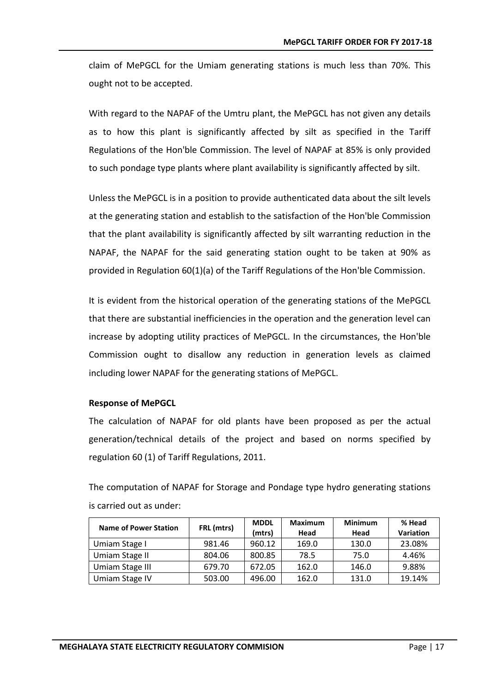claim of MePGCL for the Umiam generating stations is much less than 70%. This ought not to be accepted.

With regard to the NAPAF of the Umtru plant, the MePGCL has not given any details as to how this plant is significantly affected by silt as specified in the Tariff Regulations of the Hon'ble Commission. The level of NAPAF at 85% is only provided to such pondage type plants where plant availability is significantly affected by silt.

Unless the MePGCL is in a position to provide authenticated data about the silt levels at the generating station and establish to the satisfaction of the Hon'ble Commission that the plant availability is significantly affected by silt warranting reduction in the NAPAF, the NAPAF for the said generating station ought to be taken at 90% as provided in Regulation 60(1)(a) of the Tariff Regulations of the Hon'ble Commission.

It is evident from the historical operation of the generating stations of the MePGCL that there are substantial inefficiencies in the operation and the generation level can increase by adopting utility practices of MePGCL. In the circumstances, the Hon'ble Commission ought to disallow any reduction in generation levels as claimed including lower NAPAF for the generating stations of MePGCL.

#### **Response of MePGCL**

The calculation of NAPAF for old plants have been proposed as per the actual generation/technical details of the project and based on norms specified by regulation 60 (1) of Tariff Regulations, 2011.

The computation of NAPAF for Storage and Pondage type hydro generating stations is carried out as under:

| <b>Name of Power Station</b> |            | <b>MDDL</b> | <b>Maximum</b> | <b>Minimum</b> | % Head           |
|------------------------------|------------|-------------|----------------|----------------|------------------|
|                              | FRL (mtrs) | (mtrs)      | Head           | Head           | <b>Variation</b> |
| Umiam Stage I                | 981.46     | 960.12      | 169.0          | 130.0          | 23.08%           |
| Umiam Stage II               | 804.06     | 800.85      | 78.5           | 75.0           | 4.46%            |
| Umiam Stage III              | 679.70     | 672.05      | 162.0          | 146.0          | 9.88%            |
| Umiam Stage IV               | 503.00     | 496.00      | 162.0          | 131.0          | 19.14%           |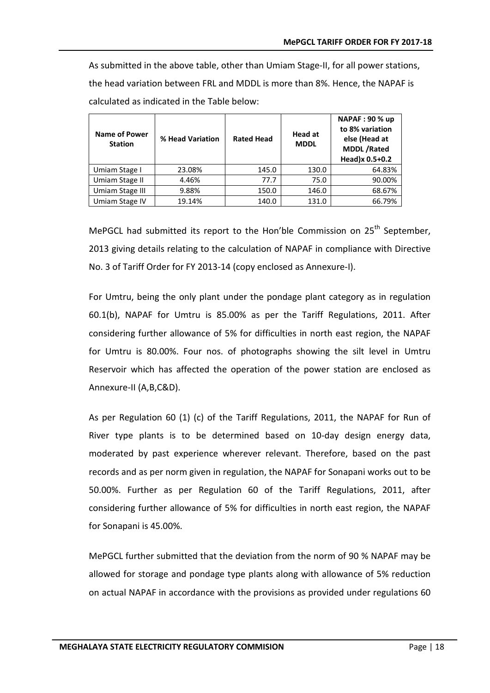As submitted in the above table, other than Umiam Stage-II, for all power stations, the head variation between FRL and MDDL is more than 8%. Hence, the NAPAF is calculated as indicated in the Table below:

| <b>Name of Power</b><br><b>Station</b> | % Head Variation | <b>Rated Head</b> | <b>Head at</b><br><b>MDDL</b> | <b>NAPAF: 90 % up</b><br>to 8% variation<br>else (Head at<br><b>MDDL/Rated</b><br>Head)x 0.5+0.2 |
|----------------------------------------|------------------|-------------------|-------------------------------|--------------------------------------------------------------------------------------------------|
| Umiam Stage I                          | 23.08%           | 145.0             | 130.0                         | 64.83%                                                                                           |
| Umiam Stage II                         | 4.46%            | 77.7              | 75.0                          | 90.00%                                                                                           |
| Umiam Stage III                        | 9.88%            | 150.0             | 146.0                         | 68.67%                                                                                           |
| Umiam Stage IV                         | 19.14%           | 140.0             | 131.0                         | 66.79%                                                                                           |

MePGCL had submitted its report to the Hon'ble Commission on  $25<sup>th</sup>$  September, 2013 giving details relating to the calculation of NAPAF in compliance with Directive No. 3 of Tariff Order for FY 2013-14 (copy enclosed as Annexure-I).

For Umtru, being the only plant under the pondage plant category as in regulation 60.1(b), NAPAF for Umtru is 85.00% as per the Tariff Regulations, 2011. After considering further allowance of 5% for difficulties in north east region, the NAPAF for Umtru is 80.00%. Four nos. of photographs showing the silt level in Umtru Reservoir which has affected the operation of the power station are enclosed as Annexure-II (A,B,C&D).

As per Regulation 60 (1) (c) of the Tariff Regulations, 2011, the NAPAF for Run of River type plants is to be determined based on 10-day design energy data, moderated by past experience wherever relevant. Therefore, based on the past records and as per norm given in regulation, the NAPAF for Sonapani works out to be 50.00%. Further as per Regulation 60 of the Tariff Regulations, 2011, after considering further allowance of 5% for difficulties in north east region, the NAPAF for Sonapani is 45.00%.

MePGCL further submitted that the deviation from the norm of 90 % NAPAF may be allowed for storage and pondage type plants along with allowance of 5% reduction on actual NAPAF in accordance with the provisions as provided under regulations 60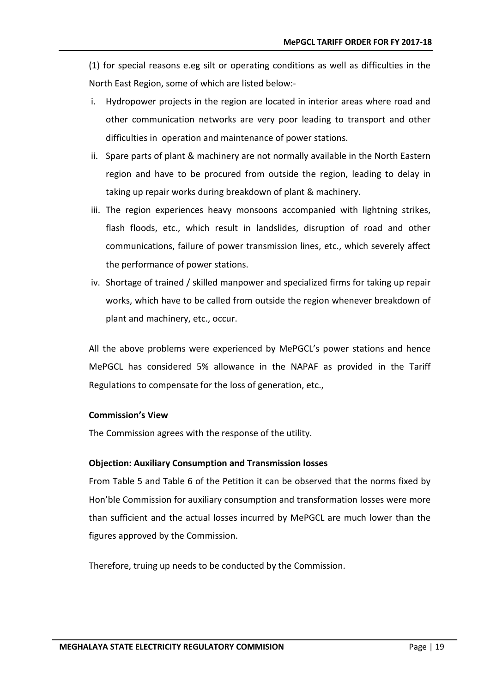(1) for special reasons e.eg silt or operating conditions as well as difficulties in the North East Region, some of which are listed below:-

- i. Hydropower projects in the region are located in interior areas where road and other communication networks are very poor leading to transport and other difficulties in operation and maintenance of power stations.
- ii. Spare parts of plant & machinery are not normally available in the North Eastern region and have to be procured from outside the region, leading to delay in taking up repair works during breakdown of plant & machinery.
- iii. The region experiences heavy monsoons accompanied with lightning strikes, flash floods, etc., which result in landslides, disruption of road and other communications, failure of power transmission lines, etc., which severely affect the performance of power stations.
- iv. Shortage of trained / skilled manpower and specialized firms for taking up repair works, which have to be called from outside the region whenever breakdown of plant and machinery, etc., occur.

All the above problems were experienced by MePGCL's power stations and hence MePGCL has considered 5% allowance in the NAPAF as provided in the Tariff Regulations to compensate for the loss of generation, etc.,

#### **Commission's View**

The Commission agrees with the response of the utility.

#### **Objection: Auxiliary Consumption and Transmission losses**

From Table 5 and Table 6 of the Petition it can be observed that the norms fixed by Hon'ble Commission for auxiliary consumption and transformation losses were more than sufficient and the actual losses incurred by MePGCL are much lower than the figures approved by the Commission.

Therefore, truing up needs to be conducted by the Commission.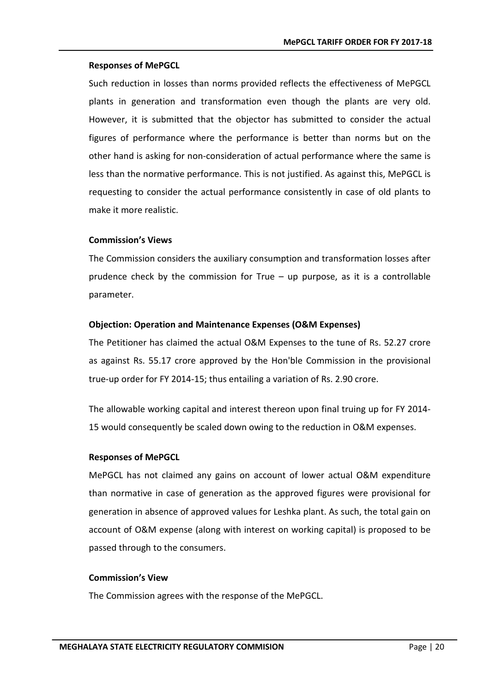#### **Responses of MePGCL**

Such reduction in losses than norms provided reflects the effectiveness of MePGCL plants in generation and transformation even though the plants are very old. However, it is submitted that the objector has submitted to consider the actual figures of performance where the performance is better than norms but on the other hand is asking for non-consideration of actual performance where the same is less than the normative performance. This is not justified. As against this, MePGCL is requesting to consider the actual performance consistently in case of old plants to make it more realistic.

#### **Commission's Views**

The Commission considers the auxiliary consumption and transformation losses after prudence check by the commission for True  $-$  up purpose, as it is a controllable parameter.

#### **Objection: Operation and Maintenance Expenses (O&M Expenses)**

The Petitioner has claimed the actual O&M Expenses to the tune of Rs. 52.27 crore as against Rs. 55.17 crore approved by the Hon'ble Commission in the provisional true-up order for FY 2014-15; thus entailing a variation of Rs. 2.90 crore.

The allowable working capital and interest thereon upon final truing up for FY 2014- 15 would consequently be scaled down owing to the reduction in O&M expenses.

#### **Responses of MePGCL**

MePGCL has not claimed any gains on account of lower actual O&M expenditure than normative in case of generation as the approved figures were provisional for generation in absence of approved values for Leshka plant. As such, the total gain on account of O&M expense (along with interest on working capital) is proposed to be passed through to the consumers.

#### **Commission's View**

The Commission agrees with the response of the MePGCL.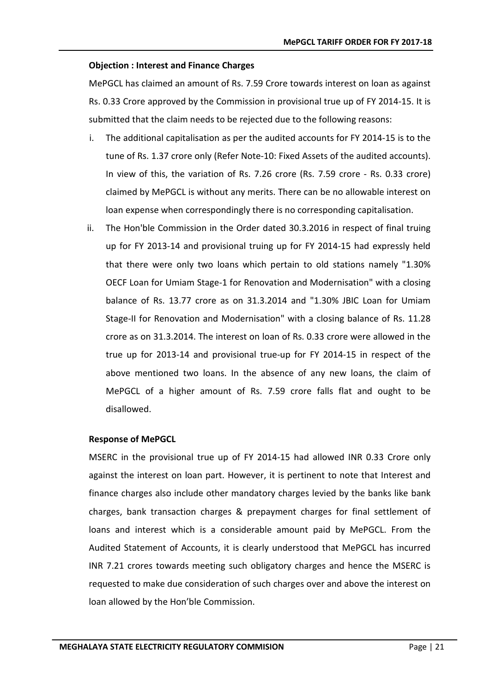#### **Objection : Interest and Finance Charges**

MePGCL has claimed an amount of Rs. 7.59 Crore towards interest on loan as against Rs. 0.33 Crore approved by the Commission in provisional true up of FY 2014-15. It is submitted that the claim needs to be rejected due to the following reasons:

- i. The additional capitalisation as per the audited accounts for FY 2014-15 is to the tune of Rs. 1.37 crore only (Refer Note-10: Fixed Assets of the audited accounts). In view of this, the variation of Rs. 7.26 crore (Rs. 7.59 crore - Rs. 0.33 crore) claimed by MePGCL is without any merits. There can be no allowable interest on loan expense when correspondingly there is no corresponding capitalisation.
- ii. The Hon'ble Commission in the Order dated 30.3.2016 in respect of final truing up for FY 2013-14 and provisional truing up for FY 2014-15 had expressly held that there were only two loans which pertain to old stations namely "1.30% OECF Loan for Umiam Stage-1 for Renovation and Modernisation" with a closing balance of Rs. 13.77 crore as on 31.3.2014 and "1.30% JBIC Loan for Umiam Stage-II for Renovation and Modernisation" with a closing balance of Rs. 11.28 crore as on 31.3.2014. The interest on loan of Rs. 0.33 crore were allowed in the true up for 2013-14 and provisional true-up for FY 2014-15 in respect of the above mentioned two loans. In the absence of any new loans, the claim of MePGCL of a higher amount of Rs. 7.59 crore falls flat and ought to be disallowed.

#### **Response of MePGCL**

MSERC in the provisional true up of FY 2014-15 had allowed INR 0.33 Crore only against the interest on loan part. However, it is pertinent to note that Interest and finance charges also include other mandatory charges levied by the banks like bank charges, bank transaction charges & prepayment charges for final settlement of loans and interest which is a considerable amount paid by MePGCL. From the Audited Statement of Accounts, it is clearly understood that MePGCL has incurred INR 7.21 crores towards meeting such obligatory charges and hence the MSERC is requested to make due consideration of such charges over and above the interest on loan allowed by the Hon'ble Commission.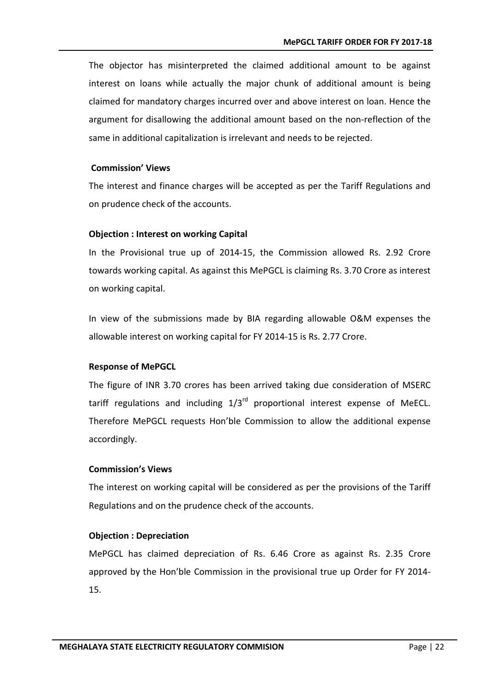The objector has misinterpreted the claimed additional amount to be against interest on loans while actually the major chunk of additional amount is being claimed for mandatory charges incurred over and above interest on loan. Hence the argument for disallowing the additional amount based on the non-reflection of the same in additional capitalization is irrelevant and needs to be rejected.

#### **Commission' Views**

The interest and finance charges will be accepted as per the Tariff Regulations and on prudence check of the accounts.

#### **Objection : Interest on working Capital**

In the Provisional true up of 2014-15, the Commission allowed Rs. 2.92 Crore towards working capital. As against this MePGCL is claiming Rs. 3.70 Crore as interest on working capital.

In view of the submissions made by BIA regarding allowable O&M expenses the allowable interest on working capital for FY 2014-15 is Rs. 2.77 Crore.

#### **Response of MePGCL**

The figure of INR 3.70 crores has been arrived taking due consideration of MSERC tariff regulations and including  $1/3<sup>rd</sup>$  proportional interest expense of MeECL. Therefore MePGCL requests Hon'ble Commission to allow the additional expense accordingly.

#### **Commission's Views**

The interest on working capital will be considered as per the provisions of the Tariff Regulations and on the prudence check of the accounts.

#### **Objection : Depreciation**

MePGCL has claimed depreciation of Rs. 6.46 Crore as against Rs. 2.35 Crore approved by the Hon'ble Commission in the provisional true up Order for FY 2014- 15.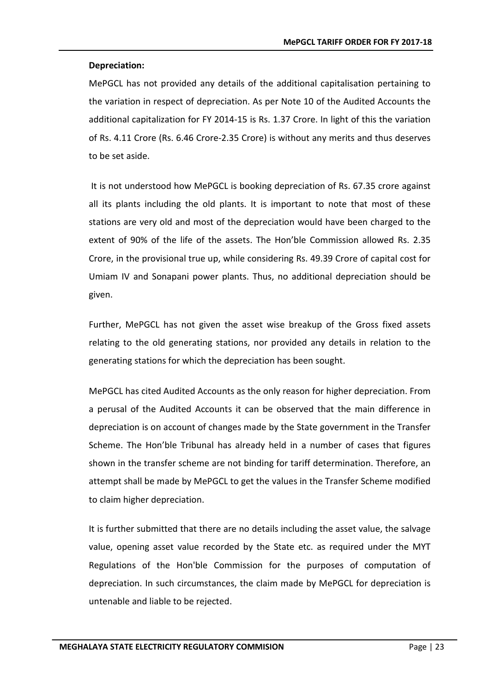#### **Depreciation:**

MePGCL has not provided any details of the additional capitalisation pertaining to the variation in respect of depreciation. As per Note 10 of the Audited Accounts the additional capitalization for FY 2014-15 is Rs. 1.37 Crore. In light of this the variation of Rs. 4.11 Crore (Rs. 6.46 Crore-2.35 Crore) is without any merits and thus deserves to be set aside.

It is not understood how MePGCL is booking depreciation of Rs. 67.35 crore against all its plants including the old plants. It is important to note that most of these stations are very old and most of the depreciation would have been charged to the extent of 90% of the life of the assets. The Hon'ble Commission allowed Rs. 2.35 Crore, in the provisional true up, while considering Rs. 49.39 Crore of capital cost for Umiam IV and Sonapani power plants. Thus, no additional depreciation should be given.

Further, MePGCL has not given the asset wise breakup of the Gross fixed assets relating to the old generating stations, nor provided any details in relation to the generating stations for which the depreciation has been sought.

MePGCL has cited Audited Accounts as the only reason for higher depreciation. From a perusal of the Audited Accounts it can be observed that the main difference in depreciation is on account of changes made by the State government in the Transfer Scheme. The Hon'ble Tribunal has already held in a number of cases that figures shown in the transfer scheme are not binding for tariff determination. Therefore, an attempt shall be made by MePGCL to get the values in the Transfer Scheme modified to claim higher depreciation.

It is further submitted that there are no details including the asset value, the salvage value, opening asset value recorded by the State etc. as required under the MYT Regulations of the Hon'ble Commission for the purposes of computation of depreciation. In such circumstances, the claim made by MePGCL for depreciation is untenable and liable to be rejected.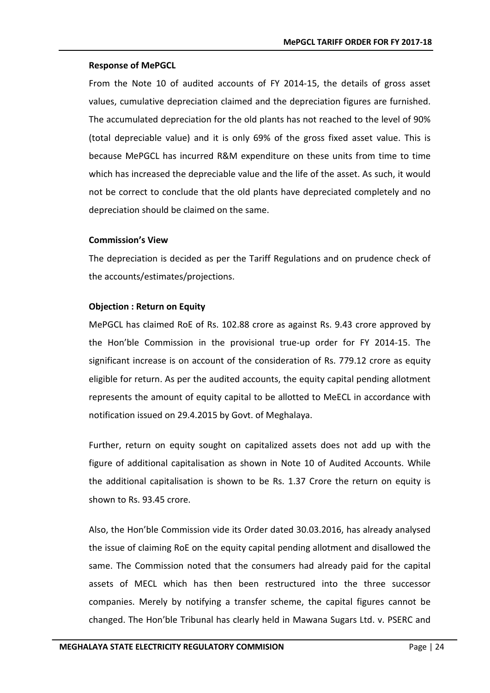#### **Response of MePGCL**

From the Note 10 of audited accounts of FY 2014-15, the details of gross asset values, cumulative depreciation claimed and the depreciation figures are furnished. The accumulated depreciation for the old plants has not reached to the level of 90% (total depreciable value) and it is only 69% of the gross fixed asset value. This is because MePGCL has incurred R&M expenditure on these units from time to time which has increased the depreciable value and the life of the asset. As such, it would not be correct to conclude that the old plants have depreciated completely and no depreciation should be claimed on the same.

#### **Commission's View**

The depreciation is decided as per the Tariff Regulations and on prudence check of the accounts/estimates/projections.

#### **Objection : Return on Equity**

MePGCL has claimed RoE of Rs. 102.88 crore as against Rs. 9.43 crore approved by the Hon'ble Commission in the provisional true-up order for FY 2014-15. The significant increase is on account of the consideration of Rs. 779.12 crore as equity eligible for return. As per the audited accounts, the equity capital pending allotment represents the amount of equity capital to be allotted to MeECL in accordance with notification issued on 29.4.2015 by Govt. of Meghalaya.

Further, return on equity sought on capitalized assets does not add up with the figure of additional capitalisation as shown in Note 10 of Audited Accounts. While the additional capitalisation is shown to be Rs. 1.37 Crore the return on equity is shown to Rs. 93.45 crore.

Also, the Hon'ble Commission vide its Order dated 30.03.2016, has already analysed the issue of claiming RoE on the equity capital pending allotment and disallowed the same. The Commission noted that the consumers had already paid for the capital assets of MECL which has then been restructured into the three successor companies. Merely by notifying a transfer scheme, the capital figures cannot be changed. The Hon'ble Tribunal has clearly held in Mawana Sugars Ltd. v. PSERC and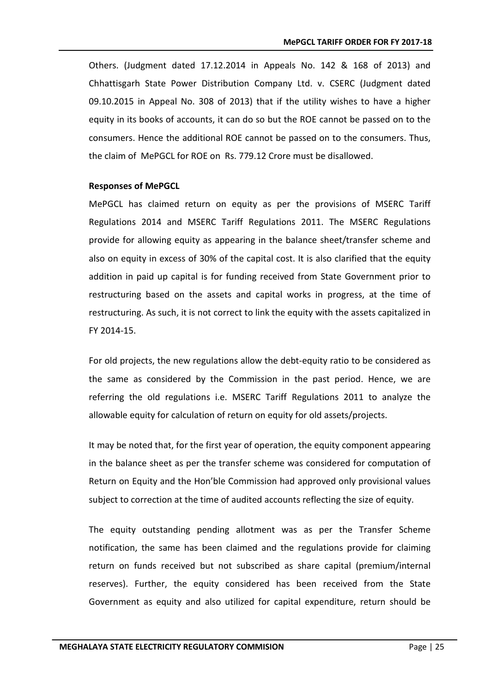Others. (Judgment dated 17.12.2014 in Appeals No. 142 & 168 of 2013) and Chhattisgarh State Power Distribution Company Ltd. v. CSERC (Judgment dated 09.10.2015 in Appeal No. 308 of 2013) that if the utility wishes to have a higher equity in its books of accounts, it can do so but the ROE cannot be passed on to the consumers. Hence the additional ROE cannot be passed on to the consumers. Thus, the claim of MePGCL for ROE on Rs. 779.12 Crore must be disallowed.

#### **Responses of MePGCL**

MePGCL has claimed return on equity as per the provisions of MSERC Tariff Regulations 2014 and MSERC Tariff Regulations 2011. The MSERC Regulations provide for allowing equity as appearing in the balance sheet/transfer scheme and also on equity in excess of 30% of the capital cost. It is also clarified that the equity addition in paid up capital is for funding received from State Government prior to restructuring based on the assets and capital works in progress, at the time of restructuring. As such, it is not correct to link the equity with the assets capitalized in FY 2014-15.

For old projects, the new regulations allow the debt-equity ratio to be considered as the same as considered by the Commission in the past period. Hence, we are referring the old regulations i.e. MSERC Tariff Regulations 2011 to analyze the allowable equity for calculation of return on equity for old assets/projects.

It may be noted that, for the first year of operation, the equity component appearing in the balance sheet as per the transfer scheme was considered for computation of Return on Equity and the Hon'ble Commission had approved only provisional values subject to correction at the time of audited accounts reflecting the size of equity.

The equity outstanding pending allotment was as per the Transfer Scheme notification, the same has been claimed and the regulations provide for claiming return on funds received but not subscribed as share capital (premium/internal reserves). Further, the equity considered has been received from the State Government as equity and also utilized for capital expenditure, return should be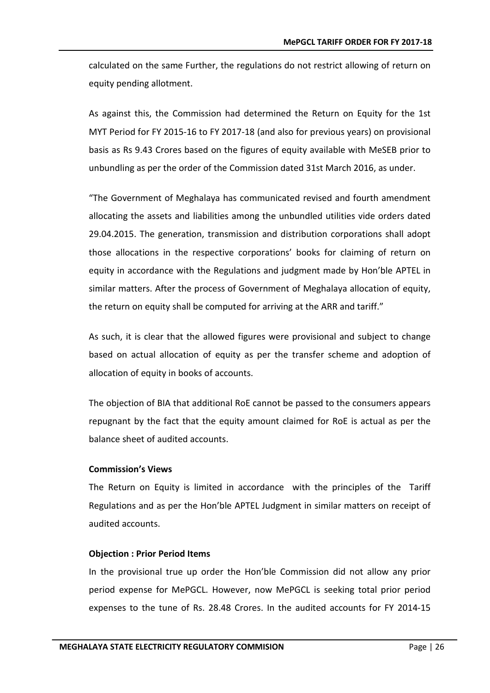calculated on the same Further, the regulations do not restrict allowing of return on equity pending allotment.

As against this, the Commission had determined the Return on Equity for the 1st MYT Period for FY 2015-16 to FY 2017-18 (and also for previous years) on provisional basis as Rs 9.43 Crores based on the figures of equity available with MeSEB prior to unbundling as per the order of the Commission dated 31st March 2016, as under.

"The Government of Meghalaya has communicated revised and fourth amendment allocating the assets and liabilities among the unbundled utilities vide orders dated 29.04.2015. The generation, transmission and distribution corporations shall adopt those allocations in the respective corporations' books for claiming of return on equity in accordance with the Regulations and judgment made by Hon'ble APTEL in similar matters. After the process of Government of Meghalaya allocation of equity, the return on equity shall be computed for arriving at the ARR and tariff."

As such, it is clear that the allowed figures were provisional and subject to change based on actual allocation of equity as per the transfer scheme and adoption of allocation of equity in books of accounts.

The objection of BIA that additional RoE cannot be passed to the consumers appears repugnant by the fact that the equity amount claimed for RoE is actual as per the balance sheet of audited accounts.

#### **Commission's Views**

The Return on Equity is limited in accordance with the principles of the Tariff Regulations and as per the Hon'ble APTEL Judgment in similar matters on receipt of audited accounts.

#### **Objection : Prior Period Items**

In the provisional true up order the Hon'ble Commission did not allow any prior period expense for MePGCL. However, now MePGCL is seeking total prior period expenses to the tune of Rs. 28.48 Crores. In the audited accounts for FY 2014-15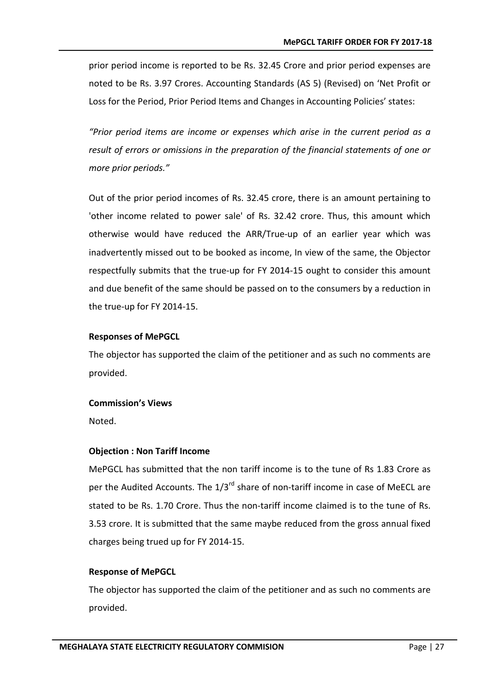prior period income is reported to be Rs. 32.45 Crore and prior period expenses are noted to be Rs. 3.97 Crores. Accounting Standards (AS 5) (Revised) on 'Net Profit or Loss for the Period, Prior Period Items and Changes in Accounting Policies' states:

*"Prior period items are income or expenses which arise in the current period as a result of errors or omissions in the preparation of the financial statements of one or more prior periods."*

Out of the prior period incomes of Rs. 32.45 crore, there is an amount pertaining to 'other income related to power sale' of Rs. 32.42 crore. Thus, this amount which otherwise would have reduced the ARR/True-up of an earlier year which was inadvertently missed out to be booked as income, In view of the same, the Objector respectfully submits that the true-up for FY 2014-15 ought to consider this amount and due benefit of the same should be passed on to the consumers by a reduction in the true-up for FY 2014-15.

#### **Responses of MePGCL**

The objector has supported the claim of the petitioner and as such no comments are provided.

#### **Commission's Views**

Noted.

#### **Objection : Non Tariff Income**

MePGCL has submitted that the non tariff income is to the tune of Rs 1.83 Crore as per the Audited Accounts. The  $1/3^{rd}$  share of non-tariff income in case of MeECL are stated to be Rs. 1.70 Crore. Thus the non-tariff income claimed is to the tune of Rs. 3.53 crore. It is submitted that the same maybe reduced from the gross annual fixed charges being trued up for FY 2014-15.

#### **Response of MePGCL**

The objector has supported the claim of the petitioner and as such no comments are provided.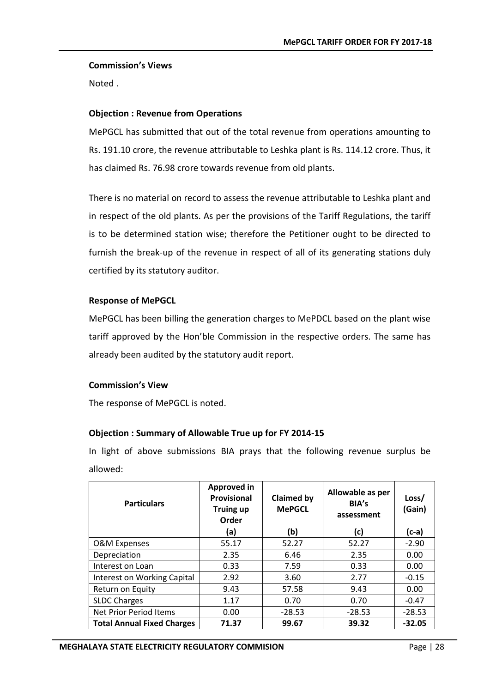#### **Commission's Views**

Noted .

#### **Objection : Revenue from Operations**

MePGCL has submitted that out of the total revenue from operations amounting to Rs. 191.10 crore, the revenue attributable to Leshka plant is Rs. 114.12 crore. Thus, it has claimed Rs. 76.98 crore towards revenue from old plants.

There is no material on record to assess the revenue attributable to Leshka plant and in respect of the old plants. As per the provisions of the Tariff Regulations, the tariff is to be determined station wise; therefore the Petitioner ought to be directed to furnish the break-up of the revenue in respect of all of its generating stations duly certified by its statutory auditor.

#### **Response of MePGCL**

MePGCL has been billing the generation charges to MePDCL based on the plant wise tariff approved by the Hon'ble Commission in the respective orders. The same has already been audited by the statutory audit report.

#### **Commission's View**

The response of MePGCL is noted.

#### **Objection : Summary of Allowable True up for FY 2014-15**

In light of above submissions BIA prays that the following revenue surplus be allowed:

| <b>Particulars</b>                | Approved in<br><b>Provisional</b><br><b>Truing up</b><br>Order | <b>Claimed by</b><br><b>MePGCL</b> | Allowable as per<br>BIA's<br>assessment | Loss/<br>(Gain) |
|-----------------------------------|----------------------------------------------------------------|------------------------------------|-----------------------------------------|-----------------|
|                                   | (a)                                                            | (b)                                | (c)                                     | $(c-a)$         |
| <b>O&amp;M Expenses</b>           | 55.17                                                          | 52.27                              | 52.27                                   | $-2.90$         |
| Depreciation                      | 2.35                                                           | 6.46                               | 2.35                                    | 0.00            |
| Interest on Loan                  | 0.33                                                           | 7.59                               | 0.33                                    | 0.00            |
| Interest on Working Capital       | 2.92                                                           | 3.60                               | 2.77                                    | $-0.15$         |
| Return on Equity                  | 9.43                                                           | 57.58                              | 9.43                                    | 0.00            |
| <b>SLDC Charges</b>               | 1.17                                                           | 0.70                               | 0.70                                    | $-0.47$         |
| Net Prior Period Items            | 0.00                                                           | $-28.53$                           | $-28.53$                                | $-28.53$        |
| <b>Total Annual Fixed Charges</b> | 71.37                                                          | 99.67                              | 39.32                                   | $-32.05$        |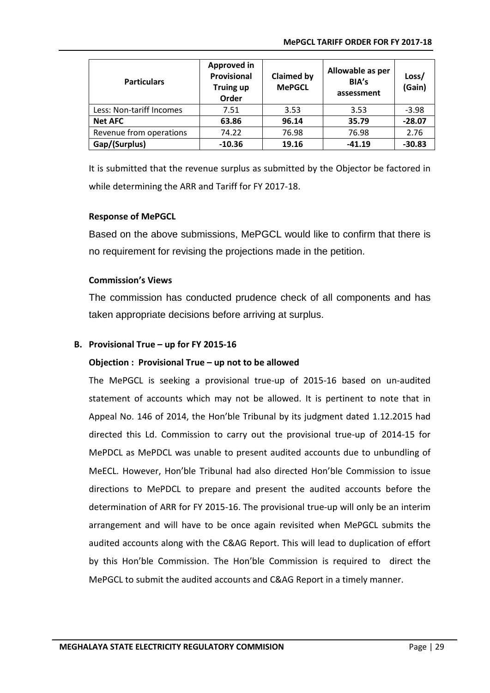| <b>Particulars</b>       | Approved in<br>Provisional<br><b>Truing up</b><br>Order | <b>Claimed by</b><br><b>MePGCL</b> | Allowable as per<br>BIA's<br>assessment | Loss/<br>(Gain) |
|--------------------------|---------------------------------------------------------|------------------------------------|-----------------------------------------|-----------------|
| Less: Non-tariff Incomes | 7.51                                                    | 3.53                               | 3.53                                    | $-3.98$         |
| <b>Net AFC</b>           | 63.86                                                   | 96.14                              | 35.79                                   | $-28.07$        |
| Revenue from operations  | 74.22                                                   | 76.98                              | 76.98                                   | 2.76            |
| Gap/(Surplus)            | $-10.36$                                                | 19.16                              | $-41.19$                                | $-30.83$        |

It is submitted that the revenue surplus as submitted by the Objector be factored in while determining the ARR and Tariff for FY 2017-18.

#### **Response of MePGCL**

Based on the above submissions, MePGCL would like to confirm that there is no requirement for revising the projections made in the petition.

#### **Commission's Views**

The commission has conducted prudence check of all components and has taken appropriate decisions before arriving at surplus.

#### **B. Provisional True – up for FY 2015-16**

#### **Objection : Provisional True – up not to be allowed**

The MePGCL is seeking a provisional true-up of 2015-16 based on un-audited statement of accounts which may not be allowed. It is pertinent to note that in Appeal No. 146 of 2014, the Hon'ble Tribunal by its judgment dated 1.12.2015 had directed this Ld. Commission to carry out the provisional true-up of 2014-15 for MePDCL as MePDCL was unable to present audited accounts due to unbundling of MeECL. However, Hon'ble Tribunal had also directed Hon'ble Commission to issue directions to MePDCL to prepare and present the audited accounts before the determination of ARR for FY 2015-16. The provisional true-up will only be an interim arrangement and will have to be once again revisited when MePGCL submits the audited accounts along with the C&AG Report. This will lead to duplication of effort by this Hon'ble Commission. The Hon'ble Commission is required to direct the MePGCL to submit the audited accounts and C&AG Report in a timely manner.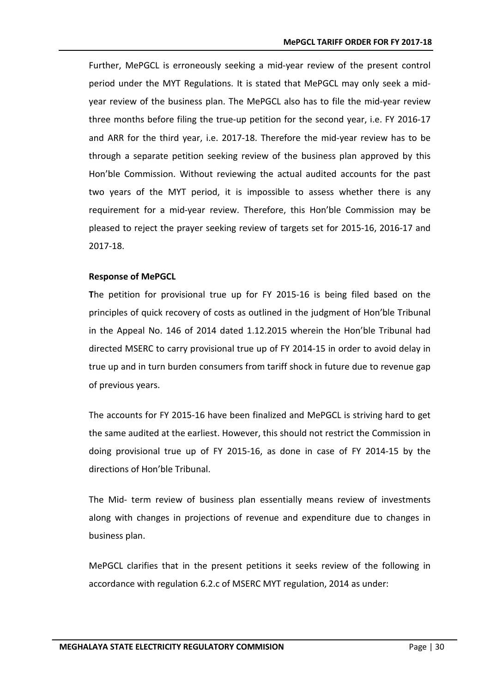Further, MePGCL is erroneously seeking a mid-year review of the present control period under the MYT Regulations. It is stated that MePGCL may only seek a midyear review of the business plan. The MePGCL also has to file the mid-year review three months before filing the true-up petition for the second year, i.e. FY 2016-17 and ARR for the third year, i.e. 2017-18. Therefore the mid-year review has to be through a separate petition seeking review of the business plan approved by this Hon'ble Commission. Without reviewing the actual audited accounts for the past two years of the MYT period, it is impossible to assess whether there is any requirement for a mid-year review. Therefore, this Hon'ble Commission may be pleased to reject the prayer seeking review of targets set for 2015-16, 2016-17 and 2017-18.

#### **Response of MePGCL**

**T**he petition for provisional true up for FY 2015-16 is being filed based on the principles of quick recovery of costs as outlined in the judgment of Hon'ble Tribunal in the Appeal No. 146 of 2014 dated 1.12.2015 wherein the Hon'ble Tribunal had directed MSERC to carry provisional true up of FY 2014-15 in order to avoid delay in true up and in turn burden consumers from tariff shock in future due to revenue gap of previous years.

The accounts for FY 2015-16 have been finalized and MePGCL is striving hard to get the same audited at the earliest. However, this should not restrict the Commission in doing provisional true up of FY 2015-16, as done in case of FY 2014-15 by the directions of Hon'ble Tribunal.

The Mid- term review of business plan essentially means review of investments along with changes in projections of revenue and expenditure due to changes in business plan.

MePGCL clarifies that in the present petitions it seeks review of the following in accordance with regulation 6.2.c of MSERC MYT regulation, 2014 as under: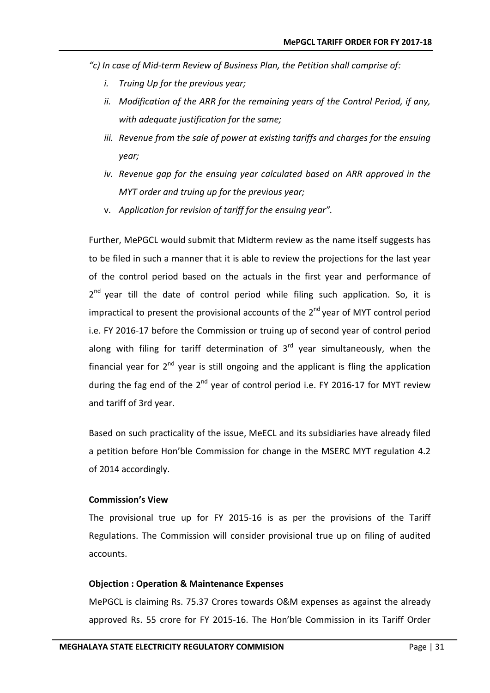- *"c) In case of Mid-term Review of Business Plan, the Petition shall comprise of:*
	- *i. Truing Up for the previous year;*
	- *ii. Modification of the ARR for the remaining years of the Control Period, if any, with adequate justification for the same;*
	- *iii. Revenue from the sale of power at existing tariffs and charges for the ensuing year;*
	- *iv. Revenue gap for the ensuing year calculated based on ARR approved in the MYT order and truing up for the previous year;*
	- v. *Application for revision of tariff for the ensuing year".*

Further, MePGCL would submit that Midterm review as the name itself suggests has to be filed in such a manner that it is able to review the projections for the last year of the control period based on the actuals in the first year and performance of  $2<sup>nd</sup>$  year till the date of control period while filing such application. So, it is impractical to present the provisional accounts of the  $2<sup>nd</sup>$  year of MYT control period i.e. FY 2016-17 before the Commission or truing up of second year of control period along with filing for tariff determination of  $3<sup>rd</sup>$  year simultaneously, when the financial year for  $2^{nd}$  year is still ongoing and the applicant is fling the application during the fag end of the  $2^{nd}$  year of control period i.e. FY 2016-17 for MYT review and tariff of 3rd year.

Based on such practicality of the issue, MeECL and its subsidiaries have already filed a petition before Hon'ble Commission for change in the MSERC MYT regulation 4.2 of 2014 accordingly.

#### **Commission's View**

The provisional true up for FY 2015-16 is as per the provisions of the Tariff Regulations. The Commission will consider provisional true up on filing of audited accounts.

#### **Objection : Operation & Maintenance Expenses**

MePGCL is claiming Rs. 75.37 Crores towards O&M expenses as against the already approved Rs. 55 crore for FY 2015-16. The Hon'ble Commission in its Tariff Order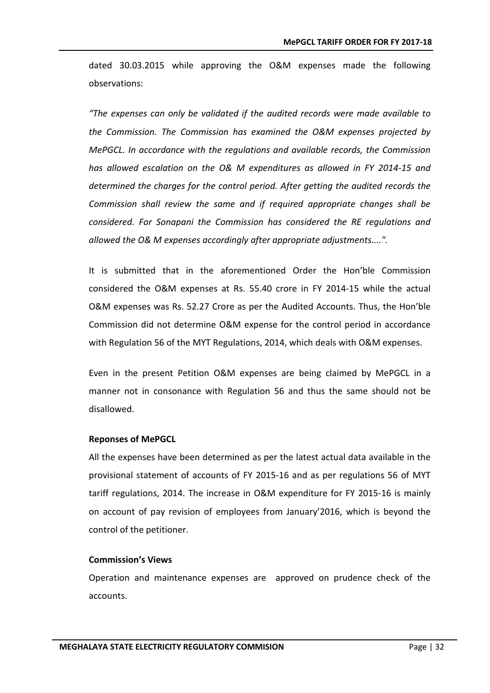dated 30.03.2015 while approving the O&M expenses made the following observations:

*"The expenses can only be validated if the audited records were made available to the Commission. The Commission has examined the O&M expenses projected by MePGCL. In accordance with the regulations and available records, the Commission has allowed escalation on the O& M expenditures as allowed in FY 2014-15 and determined the charges for the control period. After getting the audited records the Commission shall review the same and if required appropriate changes shall be considered. For Sonapani the Commission has considered the RE regulations and allowed the O& M expenses accordingly after appropriate adjustments....".*

It is submitted that in the aforementioned Order the Hon'ble Commission considered the O&M expenses at Rs. 55.40 crore in FY 2014-15 while the actual O&M expenses was Rs. 52.27 Crore as per the Audited Accounts. Thus, the Hon'ble Commission did not determine O&M expense for the control period in accordance with Regulation 56 of the MYT Regulations, 2014, which deals with O&M expenses.

Even in the present Petition O&M expenses are being claimed by MePGCL in a manner not in consonance with Regulation 56 and thus the same should not be disallowed.

#### **Reponses of MePGCL**

All the expenses have been determined as per the latest actual data available in the provisional statement of accounts of FY 2015-16 and as per regulations 56 of MYT tariff regulations, 2014. The increase in O&M expenditure for FY 2015-16 is mainly on account of pay revision of employees from January'2016, which is beyond the control of the petitioner.

#### **Commission's Views**

Operation and maintenance expenses are approved on prudence check of the accounts.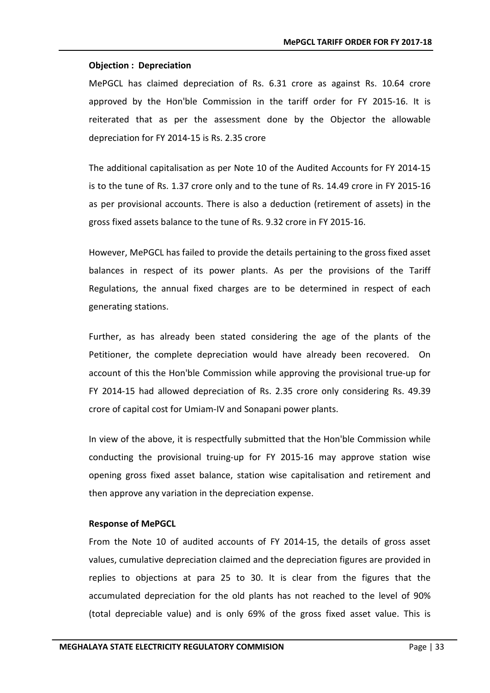#### **Objection : Depreciation**

MePGCL has claimed depreciation of Rs. 6.31 crore as against Rs. 10.64 crore approved by the Hon'ble Commission in the tariff order for FY 2015-16. It is reiterated that as per the assessment done by the Objector the allowable depreciation for FY 2014-15 is Rs. 2.35 crore

The additional capitalisation as per Note 10 of the Audited Accounts for FY 2014-15 is to the tune of Rs. 1.37 crore only and to the tune of Rs. 14.49 crore in FY 2015-16 as per provisional accounts. There is also a deduction (retirement of assets) in the gross fixed assets balance to the tune of Rs. 9.32 crore in FY 2015-16.

However, MePGCL has failed to provide the details pertaining to the gross fixed asset balances in respect of its power plants. As per the provisions of the Tariff Regulations, the annual fixed charges are to be determined in respect of each generating stations.

Further, as has already been stated considering the age of the plants of the Petitioner, the complete depreciation would have already been recovered. On account of this the Hon'ble Commission while approving the provisional true-up for FY 2014-15 had allowed depreciation of Rs. 2.35 crore only considering Rs. 49.39 crore of capital cost for Umiam-IV and Sonapani power plants.

In view of the above, it is respectfully submitted that the Hon'ble Commission while conducting the provisional truing-up for FY 2015-16 may approve station wise opening gross fixed asset balance, station wise capitalisation and retirement and then approve any variation in the depreciation expense.

#### **Response of MePGCL**

From the Note 10 of audited accounts of FY 2014-15, the details of gross asset values, cumulative depreciation claimed and the depreciation figures are provided in replies to objections at para 25 to 30. It is clear from the figures that the accumulated depreciation for the old plants has not reached to the level of 90% (total depreciable value) and is only 69% of the gross fixed asset value. This is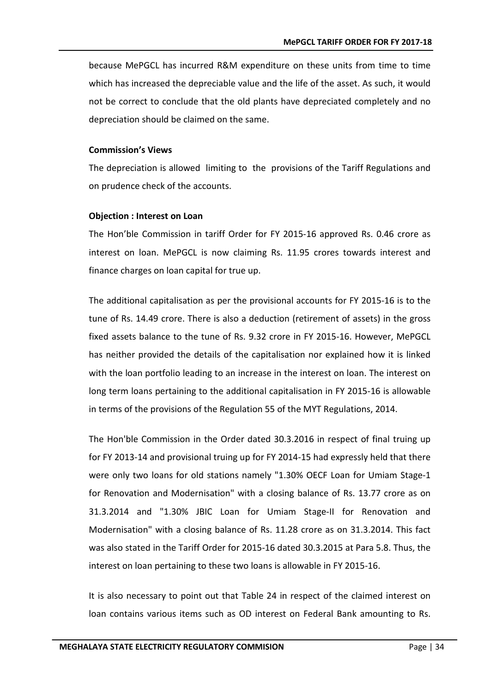because MePGCL has incurred R&M expenditure on these units from time to time which has increased the depreciable value and the life of the asset. As such, it would not be correct to conclude that the old plants have depreciated completely and no depreciation should be claimed on the same.

#### **Commission's Views**

The depreciation is allowed limiting to the provisions of the Tariff Regulations and on prudence check of the accounts.

#### **Objection : Interest on Loan**

The Hon'ble Commission in tariff Order for FY 2015-16 approved Rs. 0.46 crore as interest on loan. MePGCL is now claiming Rs. 11.95 crores towards interest and finance charges on loan capital for true up.

The additional capitalisation as per the provisional accounts for FY 2015-16 is to the tune of Rs. 14.49 crore. There is also a deduction (retirement of assets) in the gross fixed assets balance to the tune of Rs. 9.32 crore in FY 2015-16. However, MePGCL has neither provided the details of the capitalisation nor explained how it is linked with the loan portfolio leading to an increase in the interest on loan. The interest on long term loans pertaining to the additional capitalisation in FY 2015-16 is allowable in terms of the provisions of the Regulation 55 of the MYT Regulations, 2014.

The Hon'ble Commission in the Order dated 30.3.2016 in respect of final truing up for FY 2013-14 and provisional truing up for FY 2014-15 had expressly held that there were only two loans for old stations namely "1.30% OECF Loan for Umiam Stage-1 for Renovation and Modernisation" with a closing balance of Rs. 13.77 crore as on 31.3.2014 and "1.30% JBIC Loan for Umiam Stage-II for Renovation and Modernisation" with a closing balance of Rs. 11.28 crore as on 31.3.2014. This fact was also stated in the Tariff Order for 2015-16 dated 30.3.2015 at Para 5.8. Thus, the interest on loan pertaining to these two loans is allowable in FY 2015-16.

It is also necessary to point out that Table 24 in respect of the claimed interest on loan contains various items such as OD interest on Federal Bank amounting to Rs.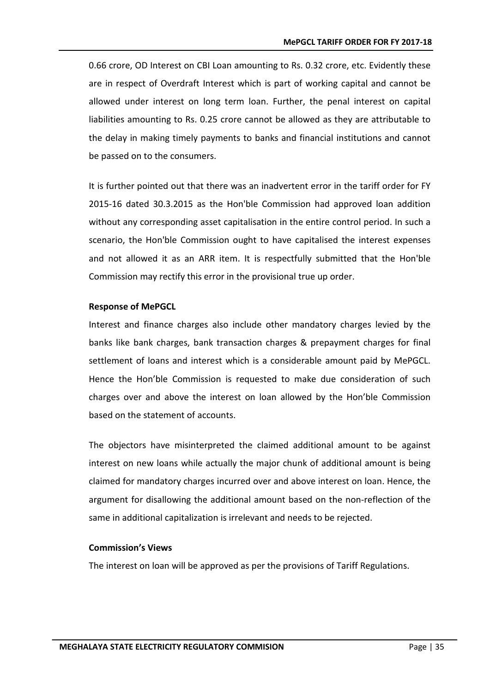0.66 crore, OD Interest on CBI Loan amounting to Rs. 0.32 crore, etc. Evidently these are in respect of Overdraft Interest which is part of working capital and cannot be allowed under interest on long term loan. Further, the penal interest on capital liabilities amounting to Rs. 0.25 crore cannot be allowed as they are attributable to the delay in making timely payments to banks and financial institutions and cannot be passed on to the consumers.

It is further pointed out that there was an inadvertent error in the tariff order for FY 2015-16 dated 30.3.2015 as the Hon'ble Commission had approved loan addition without any corresponding asset capitalisation in the entire control period. In such a scenario, the Hon'ble Commission ought to have capitalised the interest expenses and not allowed it as an ARR item. It is respectfully submitted that the Hon'ble Commission may rectify this error in the provisional true up order.

#### **Response of MePGCL**

Interest and finance charges also include other mandatory charges levied by the banks like bank charges, bank transaction charges & prepayment charges for final settlement of loans and interest which is a considerable amount paid by MePGCL. Hence the Hon'ble Commission is requested to make due consideration of such charges over and above the interest on loan allowed by the Hon'ble Commission based on the statement of accounts.

The objectors have misinterpreted the claimed additional amount to be against interest on new loans while actually the major chunk of additional amount is being claimed for mandatory charges incurred over and above interest on loan. Hence, the argument for disallowing the additional amount based on the non-reflection of the same in additional capitalization is irrelevant and needs to be rejected.

#### **Commission's Views**

The interest on loan will be approved as per the provisions of Tariff Regulations.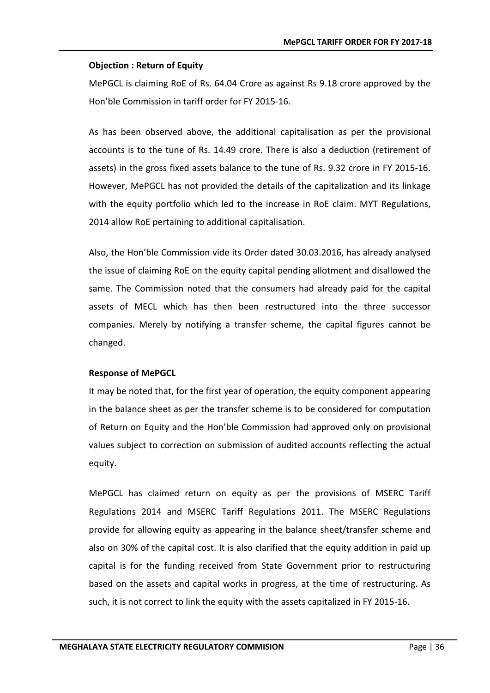#### **Objection : Return of Equity**

MePGCL is claiming RoE of Rs. 64.04 Crore as against Rs 9.18 crore approved by the Hon'ble Commission in tariff order for FY 2015-16.

As has been observed above, the additional capitalisation as per the provisional accounts is to the tune of Rs. 14.49 crore. There is also a deduction (retirement of assets) in the gross fixed assets balance to the tune of Rs. 9.32 crore in FY 2015-16. However, MePGCL has not provided the details of the capitalization and its linkage with the equity portfolio which led to the increase in RoE claim. MYT Regulations, 2014 allow RoE pertaining to additional capitalisation.

Also, the Hon'ble Commission vide its Order dated 30.03.2016, has already analysed the issue of claiming RoE on the equity capital pending allotment and disallowed the same. The Commission noted that the consumers had already paid for the capital assets of MECL which has then been restructured into the three successor companies. Merely by notifying a transfer scheme, the capital figures cannot be changed.

#### **Response of MePGCL**

It may be noted that, for the first year of operation, the equity component appearing in the balance sheet as per the transfer scheme is to be considered for computation of Return on Equity and the Hon'ble Commission had approved only on provisional values subject to correction on submission of audited accounts reflecting the actual equity.

MePGCL has claimed return on equity as per the provisions of MSERC Tariff Regulations 2014 and MSERC Tariff Regulations 2011. The MSERC Regulations provide for allowing equity as appearing in the balance sheet/transfer scheme and also on 30% of the capital cost. It is also clarified that the equity addition in paid up capital is for the funding received from State Government prior to restructuring based on the assets and capital works in progress, at the time of restructuring. As such, it is not correct to link the equity with the assets capitalized in FY 2015-16.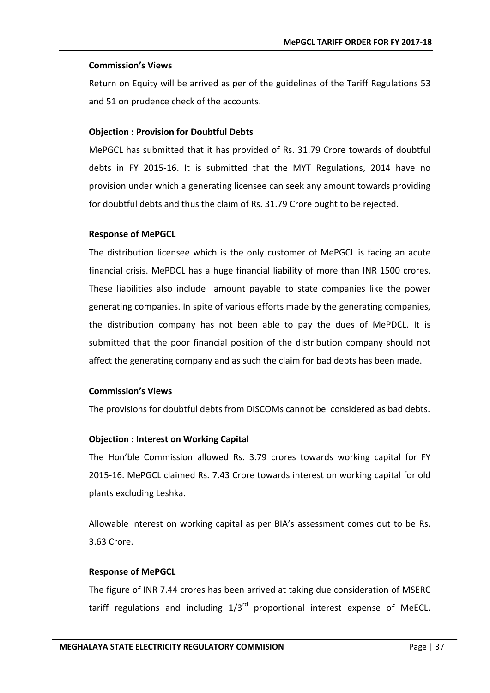#### **Commission's Views**

Return on Equity will be arrived as per of the guidelines of the Tariff Regulations 53 and 51 on prudence check of the accounts.

#### **Objection : Provision for Doubtful Debts**

MePGCL has submitted that it has provided of Rs. 31.79 Crore towards of doubtful debts in FY 2015-16. It is submitted that the MYT Regulations, 2014 have no provision under which a generating licensee can seek any amount towards providing for doubtful debts and thus the claim of Rs. 31.79 Crore ought to be rejected.

#### **Response of MePGCL**

The distribution licensee which is the only customer of MePGCL is facing an acute financial crisis. MePDCL has a huge financial liability of more than INR 1500 crores. These liabilities also include amount payable to state companies like the power generating companies. In spite of various efforts made by the generating companies, the distribution company has not been able to pay the dues of MePDCL. It is submitted that the poor financial position of the distribution company should not affect the generating company and as such the claim for bad debts has been made.

#### **Commission's Views**

The provisions for doubtful debts from DISCOMs cannot be considered as bad debts.

#### **Objection : Interest on Working Capital**

The Hon'ble Commission allowed Rs. 3.79 crores towards working capital for FY 2015-16. MePGCL claimed Rs. 7.43 Crore towards interest on working capital for old plants excluding Leshka.

Allowable interest on working capital as per BIA's assessment comes out to be Rs. 3.63 Crore.

#### **Response of MePGCL**

The figure of INR 7.44 crores has been arrived at taking due consideration of MSERC tariff regulations and including  $1/3<sup>rd</sup>$  proportional interest expense of MeECL.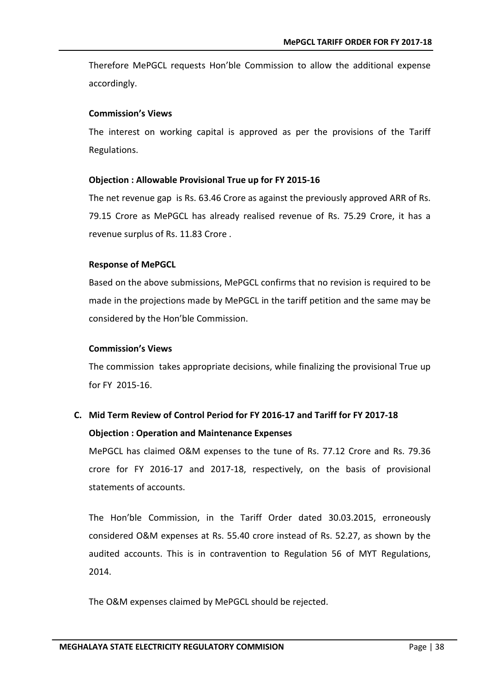Therefore MePGCL requests Hon'ble Commission to allow the additional expense accordingly.

#### **Commission's Views**

The interest on working capital is approved as per the provisions of the Tariff Regulations.

#### **Objection : Allowable Provisional True up for FY 2015-16**

The net revenue gap is Rs. 63.46 Crore as against the previously approved ARR of Rs. 79.15 Crore as MePGCL has already realised revenue of Rs. 75.29 Crore, it has a revenue surplus of Rs. 11.83 Crore .

#### **Response of MePGCL**

Based on the above submissions, MePGCL confirms that no revision is required to be made in the projections made by MePGCL in the tariff petition and the same may be considered by the Hon'ble Commission.

#### **Commission's Views**

The commission takes appropriate decisions, while finalizing the provisional True up for FY 2015-16.

### **C. Mid Term Review of Control Period for FY 2016-17 and Tariff for FY 2017-18 Objection : Operation and Maintenance Expenses**

MePGCL has claimed O&M expenses to the tune of Rs. 77.12 Crore and Rs. 79.36 crore for FY 2016-17 and 2017-18, respectively, on the basis of provisional statements of accounts.

The Hon'ble Commission, in the Tariff Order dated 30.03.2015, erroneously considered O&M expenses at Rs. 55.40 crore instead of Rs. 52.27, as shown by the audited accounts. This is in contravention to Regulation 56 of MYT Regulations, 2014.

The O&M expenses claimed by MePGCL should be rejected.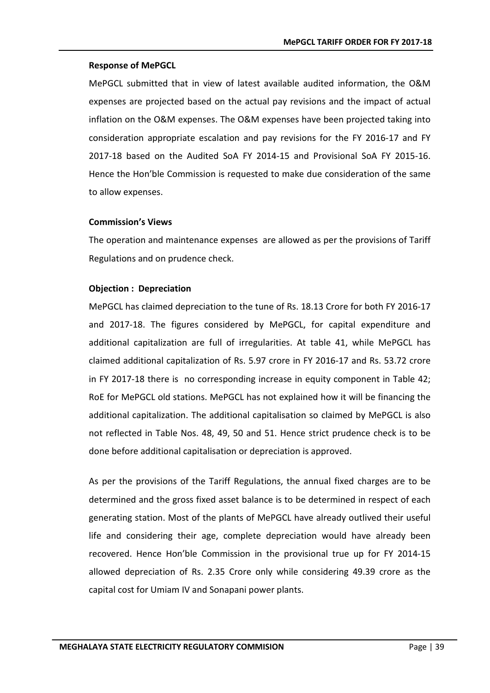#### **Response of MePGCL**

MePGCL submitted that in view of latest available audited information, the O&M expenses are projected based on the actual pay revisions and the impact of actual inflation on the O&M expenses. The O&M expenses have been projected taking into consideration appropriate escalation and pay revisions for the FY 2016-17 and FY 2017-18 based on the Audited SoA FY 2014-15 and Provisional SoA FY 2015-16. Hence the Hon'ble Commission is requested to make due consideration of the same to allow expenses.

#### **Commission's Views**

The operation and maintenance expenses are allowed as per the provisions of Tariff Regulations and on prudence check.

#### **Objection : Depreciation**

MePGCL has claimed depreciation to the tune of Rs. 18.13 Crore for both FY 2016-17 and 2017-18. The figures considered by MePGCL, for capital expenditure and additional capitalization are full of irregularities. At table 41, while MePGCL has claimed additional capitalization of Rs. 5.97 crore in FY 2016-17 and Rs. 53.72 crore in FY 2017-18 there is no corresponding increase in equity component in Table 42; RoE for MePGCL old stations. MePGCL has not explained how it will be financing the additional capitalization. The additional capitalisation so claimed by MePGCL is also not reflected in Table Nos. 48, 49, 50 and 51. Hence strict prudence check is to be done before additional capitalisation or depreciation is approved.

As per the provisions of the Tariff Regulations, the annual fixed charges are to be determined and the gross fixed asset balance is to be determined in respect of each generating station. Most of the plants of MePGCL have already outlived their useful life and considering their age, complete depreciation would have already been recovered. Hence Hon'ble Commission in the provisional true up for FY 2014-15 allowed depreciation of Rs. 2.35 Crore only while considering 49.39 crore as the capital cost for Umiam IV and Sonapani power plants.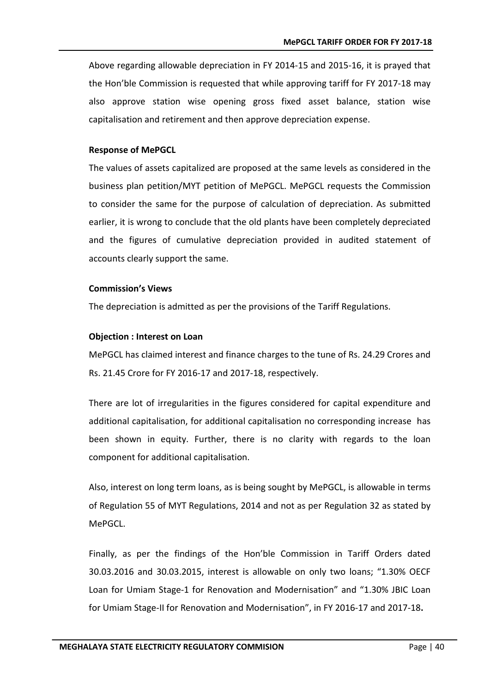Above regarding allowable depreciation in FY 2014-15 and 2015-16, it is prayed that the Hon'ble Commission is requested that while approving tariff for FY 2017-18 may also approve station wise opening gross fixed asset balance, station wise capitalisation and retirement and then approve depreciation expense.

#### **Response of MePGCL**

The values of assets capitalized are proposed at the same levels as considered in the business plan petition/MYT petition of MePGCL. MePGCL requests the Commission to consider the same for the purpose of calculation of depreciation. As submitted earlier, it is wrong to conclude that the old plants have been completely depreciated and the figures of cumulative depreciation provided in audited statement of accounts clearly support the same.

#### **Commission's Views**

The depreciation is admitted as per the provisions of the Tariff Regulations.

#### **Objection : Interest on Loan**

MePGCL has claimed interest and finance charges to the tune of Rs. 24.29 Crores and Rs. 21.45 Crore for FY 2016-17 and 2017-18, respectively.

There are lot of irregularities in the figures considered for capital expenditure and additional capitalisation, for additional capitalisation no corresponding increase has been shown in equity. Further, there is no clarity with regards to the loan component for additional capitalisation.

Also, interest on long term loans, as is being sought by MePGCL, is allowable in terms of Regulation 55 of MYT Regulations, 2014 and not as per Regulation 32 as stated by MePGCL.

Finally, as per the findings of the Hon'ble Commission in Tariff Orders dated 30.03.2016 and 30.03.2015, interest is allowable on only two loans; "1.30% OECF Loan for Umiam Stage-1 for Renovation and Modernisation" and "1.30% JBIC Loan for Umiam Stage-II for Renovation and Modernisation", in FY 2016-17 and 2017-18**.**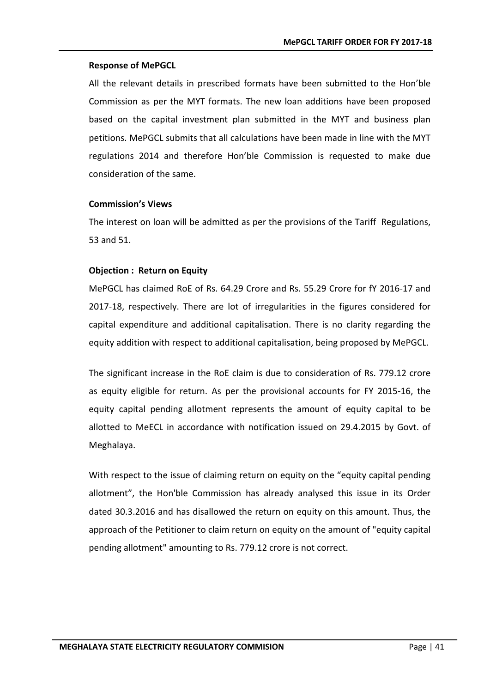#### **Response of MePGCL**

All the relevant details in prescribed formats have been submitted to the Hon'ble Commission as per the MYT formats. The new loan additions have been proposed based on the capital investment plan submitted in the MYT and business plan petitions. MePGCL submits that all calculations have been made in line with the MYT regulations 2014 and therefore Hon'ble Commission is requested to make due consideration of the same.

#### **Commission's Views**

The interest on loan will be admitted as per the provisions of the Tariff Regulations, 53 and 51.

#### **Objection : Return on Equity**

MePGCL has claimed RoE of Rs. 64.29 Crore and Rs. 55.29 Crore for fY 2016-17 and 2017-18, respectively. There are lot of irregularities in the figures considered for capital expenditure and additional capitalisation. There is no clarity regarding the equity addition with respect to additional capitalisation, being proposed by MePGCL.

The significant increase in the RoE claim is due to consideration of Rs. 779.12 crore as equity eligible for return. As per the provisional accounts for FY 2015-16, the equity capital pending allotment represents the amount of equity capital to be allotted to MeECL in accordance with notification issued on 29.4.2015 by Govt. of Meghalaya.

With respect to the issue of claiming return on equity on the "equity capital pending allotment", the Hon'ble Commission has already analysed this issue in its Order dated 30.3.2016 and has disallowed the return on equity on this amount. Thus, the approach of the Petitioner to claim return on equity on the amount of "equity capital pending allotment" amounting to Rs. 779.12 crore is not correct.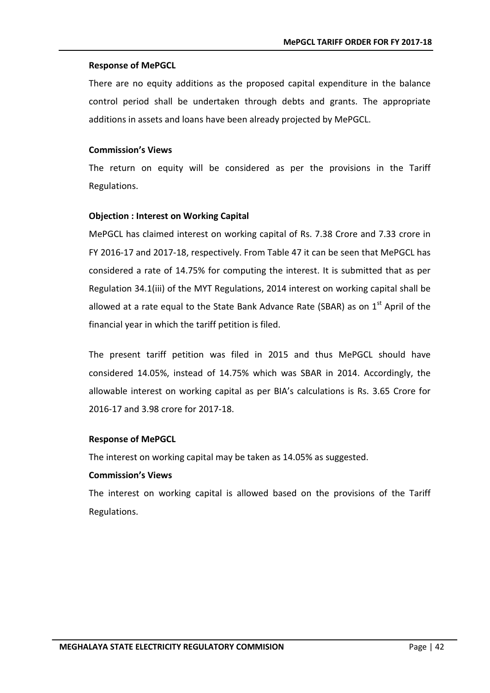#### **Response of MePGCL**

There are no equity additions as the proposed capital expenditure in the balance control period shall be undertaken through debts and grants. The appropriate additions in assets and loans have been already projected by MePGCL.

#### **Commission's Views**

The return on equity will be considered as per the provisions in the Tariff Regulations.

#### **Objection : Interest on Working Capital**

MePGCL has claimed interest on working capital of Rs. 7.38 Crore and 7.33 crore in FY 2016-17 and 2017-18, respectively. From Table 47 it can be seen that MePGCL has considered a rate of 14.75% for computing the interest. It is submitted that as per Regulation 34.1(iii) of the MYT Regulations, 2014 interest on working capital shall be allowed at a rate equal to the State Bank Advance Rate (SBAR) as on  $1<sup>st</sup>$  April of the financial year in which the tariff petition is filed.

The present tariff petition was filed in 2015 and thus MePGCL should have considered 14.05%, instead of 14.75% which was SBAR in 2014. Accordingly, the allowable interest on working capital as per BIA's calculations is Rs. 3.65 Crore for 2016-17 and 3.98 crore for 2017-18.

#### **Response of MePGCL**

The interest on working capital may be taken as 14.05% as suggested.

#### **Commission's Views**

The interest on working capital is allowed based on the provisions of the Tariff Regulations.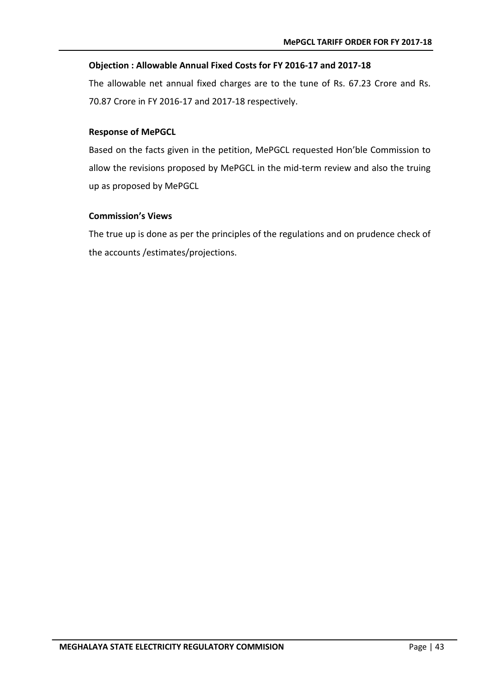#### **Objection : Allowable Annual Fixed Costs for FY 2016-17 and 2017-18**

The allowable net annual fixed charges are to the tune of Rs. 67.23 Crore and Rs. 70.87 Crore in FY 2016-17 and 2017-18 respectively.

#### **Response of MePGCL**

Based on the facts given in the petition, MePGCL requested Hon'ble Commission to allow the revisions proposed by MePGCL in the mid-term review and also the truing up as proposed by MePGCL

#### **Commission's Views**

The true up is done as per the principles of the regulations and on prudence check of the accounts /estimates/projections.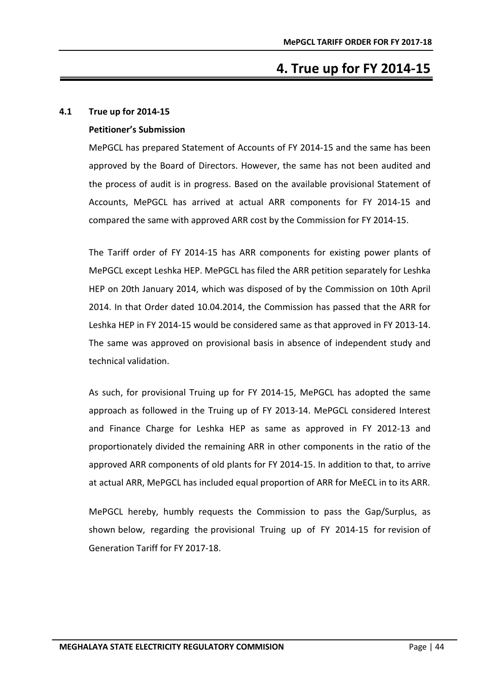# **4. True up for FY 2014-15**

#### <span id="page-48-1"></span><span id="page-48-0"></span>**4.1 True up for 2014-15**

#### **Petitioner's Submission**

MePGCL has prepared Statement of Accounts of FY 2014-15 and the same has been approved by the Board of Directors. However, the same has not been audited and the process of audit is in progress. Based on the available provisional Statement of Accounts, MePGCL has arrived at actual ARR components for FY 2014-15 and compared the same with approved ARR cost by the Commission for FY 2014-15.

The Tariff order of FY 2014-15 has ARR components for existing power plants of MePGCL except Leshka HEP. MePGCL has filed the ARR petition separately for Leshka HEP on 20th January 2014, which was disposed of by the Commission on 10th April 2014. In that Order dated 10.04.2014, the Commission has passed that the ARR for Leshka HEP in FY 2014-15 would be considered same as that approved in FY 2013-14. The same was approved on provisional basis in absence of independent study and technical validation.

As such, for provisional Truing up for FY 2014-15, MePGCL has adopted the same approach as followed in the Truing up of FY 2013-14. MePGCL considered Interest and Finance Charge for Leshka HEP as same as approved in FY 2012-13 and proportionately divided the remaining ARR in other components in the ratio of the approved ARR components of old plants for FY 2014-15. In addition to that, to arrive at actual ARR, MePGCL has included equal proportion of ARR for MeECL in to its ARR.

MePGCL hereby, humbly requests the Commission to pass the Gap/Surplus, as shown below, regarding the provisional Truing up of FY 2014-15 for revision of Generation Tariff for FY 2017-18.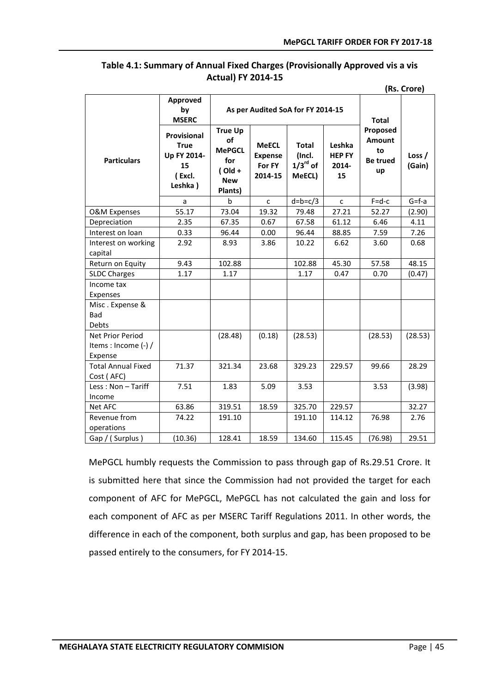#### <span id="page-49-0"></span>**Table 4.1: Summary of Annual Fixed Charges (Provisionally Approved vis a vis Actual) FY 2014-15**

**(Rs. Crore)**

|                                                       | Approved<br>As per Audited SoA for FY 2014-15<br>by<br><b>MSERC</b>  |                                                                                    |                                                     |                                                            |                                        | <b>Total</b>                                             |                    |
|-------------------------------------------------------|----------------------------------------------------------------------|------------------------------------------------------------------------------------|-----------------------------------------------------|------------------------------------------------------------|----------------------------------------|----------------------------------------------------------|--------------------|
| <b>Particulars</b>                                    | Provisional<br><b>True</b><br>Up FY 2014-<br>15<br>(Excl.<br>Leshka) | <b>True Up</b><br>of<br><b>MePGCL</b><br>for<br>$($ Old +<br><b>New</b><br>Plants) | <b>MeECL</b><br><b>Expense</b><br>For FY<br>2014-15 | <b>Total</b><br>(Incl.<br>$1/3$ <sup>rd</sup> of<br>MeECL) | Leshka<br><b>HEP FY</b><br>2014-<br>15 | Proposed<br><b>Amount</b><br>to<br><b>Be trued</b><br>up | Loss $/$<br>(Gain) |
|                                                       | a                                                                    | <sub>b</sub>                                                                       | $\mathsf{C}$                                        | $d=b=c/3$                                                  | $\mathsf{C}$                           | $F = d - c$                                              | $G = f - a$        |
| <b>O&amp;M Expenses</b>                               | 55.17                                                                | 73.04                                                                              | 19.32                                               | 79.48                                                      | 27.21                                  | 52.27                                                    | (2.90)             |
| Depreciation                                          | 2.35                                                                 | 67.35                                                                              | 0.67                                                | 67.58                                                      | 61.12                                  | 6.46                                                     | 4.11               |
| Interest on loan                                      | 0.33                                                                 | 96.44                                                                              | 0.00                                                | 96.44                                                      | 88.85                                  | 7.59                                                     | 7.26               |
| Interest on working<br>capital                        | 2.92                                                                 | 8.93                                                                               | 3.86                                                | 10.22                                                      | 6.62                                   | 3.60                                                     | 0.68               |
| Return on Equity                                      | 9.43                                                                 | 102.88                                                                             |                                                     | 102.88                                                     | 45.30                                  | 57.58                                                    | 48.15              |
| <b>SLDC Charges</b>                                   | 1.17                                                                 | 1.17                                                                               |                                                     | 1.17                                                       | 0.47                                   | 0.70                                                     | (0.47)             |
| Income tax<br>Expenses                                |                                                                      |                                                                                    |                                                     |                                                            |                                        |                                                          |                    |
| Misc. Expense &<br>Bad<br><b>Debts</b>                |                                                                      |                                                                                    |                                                     |                                                            |                                        |                                                          |                    |
| Net Prior Period<br>Items : Income $(-)$ /<br>Expense |                                                                      | (28.48)                                                                            | (0.18)                                              | (28.53)                                                    |                                        | (28.53)                                                  | (28.53)            |
| <b>Total Annual Fixed</b><br>Cost (AFC)               | 71.37                                                                | 321.34                                                                             | 23.68                                               | 329.23                                                     | 229.57                                 | 99.66                                                    | 28.29              |
| Less: Non - Tariff<br>Income                          | 7.51                                                                 | 1.83                                                                               | 5.09                                                | 3.53                                                       |                                        | 3.53                                                     | (3.98)             |
| Net AFC                                               | 63.86                                                                | 319.51                                                                             | 18.59                                               | 325.70                                                     | 229.57                                 |                                                          | 32.27              |
| Revenue from<br>operations                            | 74.22                                                                | 191.10                                                                             |                                                     | 191.10                                                     | 114.12                                 | 76.98                                                    | 2.76               |
| Gap / (Surplus)                                       | (10.36)                                                              | 128.41                                                                             | 18.59                                               | 134.60                                                     | 115.45                                 | (76.98)                                                  | 29.51              |

MePGCL humbly requests the Commission to pass through gap of [Rs.29.51 Cror](http://Rs.180.53)e. It is submitted here that since the Commission had not provided the target for each component of AFC for MePGCL, MePGCL has not calculated the gain and loss for each component of AFC as per MSERC Tariff Regulations 2011. In other words, the difference in each of the component, both surplus and gap, has been proposed to be passed entirely to the consumers, for FY 2014-15.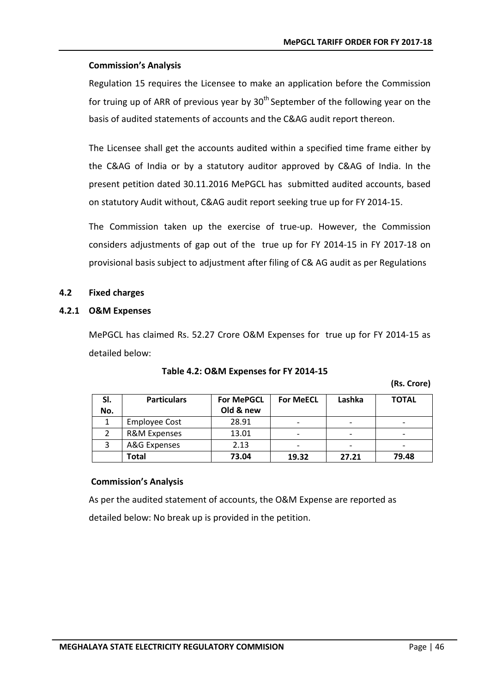#### **Commission's Analysis**

Regulation 15 requires the Licensee to make an application before the Commission for truing up of ARR of previous year by  $30<sup>th</sup>$  September of the following year on the basis of audited statements of accounts and the C&AG audit report thereon.

The Licensee shall get the accounts audited within a specified time frame either by the C&AG of India or by a statutory auditor approved by C&AG of India. In the present petition dated 30.11.2016 MePGCL has submitted audited accounts, based on statutory Audit without, C&AG audit report seeking true up for FY 2014-15.

The Commission taken up the exercise of true-up. However, the Commission considers adjustments of gap out of the true up for FY 2014-15 in FY 2017-18 on provisional basis subject to adjustment after filing of C& AG audit as per Regulations

#### <span id="page-50-0"></span>**4.2 Fixed charges**

#### <span id="page-50-1"></span>**4.2.1 O&M Expenses**

MePGCL has claimed Rs. 52.27 Crore O&M Expenses for true up for FY 2014-15 as detailed below:

<span id="page-50-2"></span>

| SI.<br>No. | <b>Particulars</b>      | <b>For MePGCL</b><br>Old & new | <b>For MeECL</b>         | Lashka | <b>TOTAL</b>             |
|------------|-------------------------|--------------------------------|--------------------------|--------|--------------------------|
|            | <b>Employee Cost</b>    | 28.91                          | $\overline{\phantom{0}}$ |        | $\overline{\phantom{0}}$ |
|            | <b>R&amp;M Expenses</b> | 13.01                          | $\overline{\phantom{0}}$ |        | $\overline{\phantom{0}}$ |
|            | A&G Expenses            | 2.13                           | $\overline{\phantom{0}}$ |        | $\overline{\phantom{0}}$ |
|            | Total                   | 73.04                          | 19.32                    | 27.21  | 79.48                    |

**Commission's Analysis**

As per the audited statement of accounts, the O&M Expense are reported as detailed below: No break up is provided in the petition.

**(Rs. Crore)**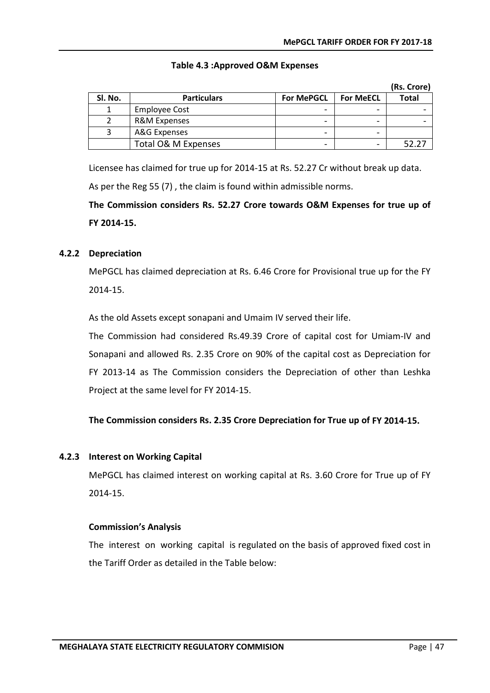<span id="page-51-2"></span>

|         |                      |                   |                  | (Rs. Crore)  |
|---------|----------------------|-------------------|------------------|--------------|
| Sl. No. | <b>Particulars</b>   | <b>For MePGCL</b> | <b>For MeECL</b> | <b>Total</b> |
|         | <b>Employee Cost</b> |                   |                  |              |
|         | R&M Expenses         | -                 |                  |              |
|         | A&G Expenses         | -                 |                  |              |
|         | Total O& M Expenses  | -                 |                  | 52.27        |

#### **Table 4.3 :Approved O&M Expenses**

Licensee has claimed for true up for 2014-15 at Rs. 52.27 Cr without break up data.

As per the Reg 55 (7) , the claim is found within admissible norms.

**The Commission considers Rs. 52.27 Crore towards O&M Expenses for true up of FY 2014-15.**

#### <span id="page-51-0"></span>**4.2.2 Depreciation**

MePGCL has claimed depreciation at Rs. 6.46 Crore for Provisional true up for the FY 2014-15.

As the old Assets except sonapani and Umaim IV served their life.

The Commission had considered [Rs.49.39 Cror](http://Rs.49.39)e of capital cost for Umiam-IV and Sonapani and allowed Rs. 2.35 Crore on 90% of the capital cost as Depreciation for FY 2013-14 as The Commission considers the Depreciation of other than Leshka Project at the same level for FY 2014-15.

#### **The Commission considers Rs. 2.35 Crore Depreciation for True up of FY 2014-15.**

#### <span id="page-51-1"></span>**4.2.3 Interest on Working Capital**

MePGCL has claimed interest on working capital at Rs. 3.60 Crore for True up of FY 2014-15.

#### **Commission's Analysis**

The interest on working capital is regulated on the basis of approved fixed cost in the Tariff Order as detailed in the Table below: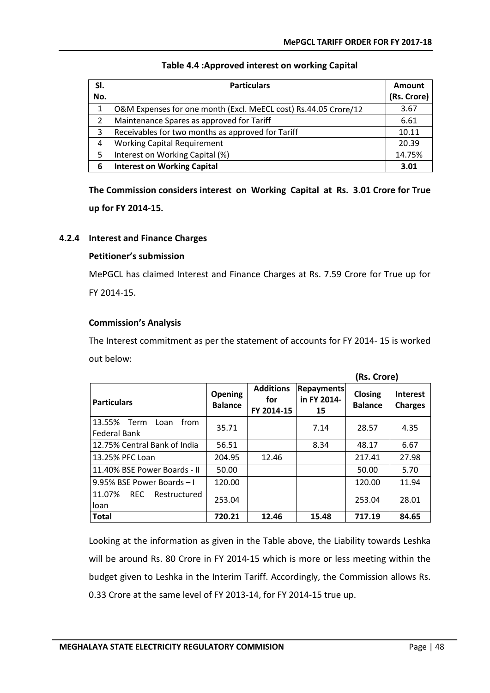<span id="page-52-1"></span>

| SI. | <b>Particulars</b>                                              | Amount      |
|-----|-----------------------------------------------------------------|-------------|
| No. |                                                                 | (Rs. Crore) |
| 1   | O&M Expenses for one month (Excl. MeECL cost) Rs.44.05 Crore/12 | 3.67        |
| 2   | Maintenance Spares as approved for Tariff                       | 6.61        |
| 3   | Receivables for two months as approved for Tariff               | 10.11       |
| 4   | <b>Working Capital Requirement</b>                              | 20.39       |
| 5   | Interest on Working Capital (%)                                 | 14.75%      |
| 6   | <b>Interest on Working Capital</b>                              | 3.01        |

#### **Table 4.4 :Approved interest on working Capital**

**The Commission considers interest on Working Capital at Rs. 3.01 Crore for True up for FY 2014-15.**

#### <span id="page-52-0"></span>**4.2.4 Interest and Finance Charges**

#### **Petitioner's submission**

MePGCL has claimed Interest and Finance Charges at Rs. 7.59 Crore for True up for FY 2014-15.

#### **Commission's Analysis**

The Interest commitment as per the statement of accounts for FY 2014- 15 is worked out below:

|                                                |                           |                                       |                                        | (Rs. Crore)               |                                   |
|------------------------------------------------|---------------------------|---------------------------------------|----------------------------------------|---------------------------|-----------------------------------|
| <b>Particulars</b>                             | Opening<br><b>Balance</b> | <b>Additions</b><br>for<br>FY 2014-15 | <b>Repayments</b><br>in FY 2014-<br>15 | Closing<br><b>Balance</b> | <b>Interest</b><br><b>Charges</b> |
| 13.55%<br>from<br>Term<br>Loan<br>Federal Bank | 35.71                     |                                       | 7.14                                   | 28.57                     | 4.35                              |
| 12.75% Central Bank of India                   | 56.51                     |                                       | 8.34                                   | 48.17                     | 6.67                              |
| 13.25% PFC Loan                                | 204.95                    | 12.46                                 |                                        | 217.41                    | 27.98                             |
| 11.40% BSE Power Boards - II                   | 50.00                     |                                       |                                        | 50.00                     | 5.70                              |
| 9.95% BSE Power Boards-I                       | 120.00                    |                                       |                                        | 120.00                    | 11.94                             |
| 11.07%<br><b>REC</b><br>Restructured<br>loan   | 253.04                    |                                       |                                        | 253.04                    | 28.01                             |
| <b>Total</b>                                   | 720.21                    | 12.46                                 | 15.48                                  | 717.19                    | 84.65                             |

Looking at the information as given in the Table above, the Liability towards Leshka will be around Rs. 80 Crore in FY 2014-15 which is more or less meeting within the budget given to Leshka in the Interim Tariff. Accordingly, the Commission allows Rs. 0.33 Crore at the same level of FY 2013-14, for FY 2014-15 true up.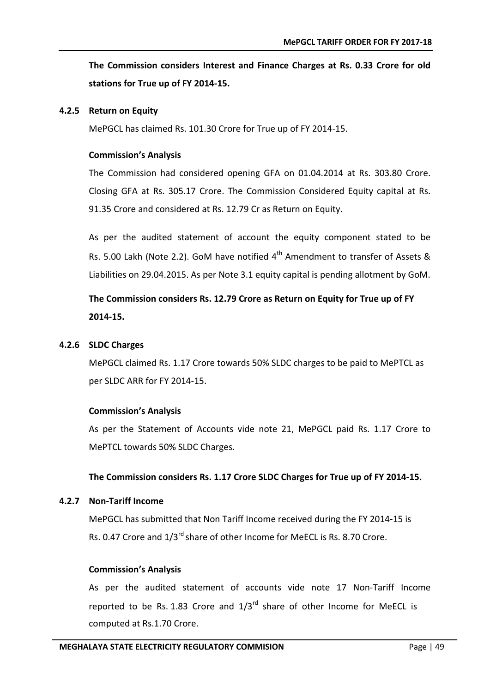**The Commission considers Interest and Finance Charges at Rs. 0.33 Crore for old stations for True up of FY 2014-15.**

#### <span id="page-53-0"></span>**4.2.5 Return on Equity**

MePGCL has claimed Rs. 101.30 Crore for True up of FY 2014-15.

#### **Commission's Analysis**

The Commission had considered opening GFA on 01.04.2014 at Rs. 303.80 Crore. Closing GFA at Rs. 305.17 Crore. The Commission Considered Equity capital at Rs. 91.35 Crore and considered at Rs. 12.79 Cr as Return on Equity.

As per the audited statement of account the equity component stated to be Rs. 5.00 Lakh (Note 2.2). GoM have notified  $4<sup>th</sup>$  Amendment to transfer of Assets & Liabilities on 29.04.2015. As per Note 3.1 equity capital is pending allotment by GoM.

## **The Commission considers Rs. 12.79 Crore as Return on Equity for True up of FY 2014-15.**

#### <span id="page-53-1"></span>**4.2.6 SLDC Charges**

MePGCL claimed Rs. 1.17 Crore towards 50% SLDC charges to be paid to MePTCL as per SLDC ARR for FY 2014-15.

#### **Commission's Analysis**

As per the Statement of Accounts vide note 21, MePGCL paid Rs. 1.17 Crore to MePTCL towards 50% SLDC Charges.

#### **The Commission considers Rs. 1.17 Crore SLDC Charges for True up of FY 2014-15.**

#### <span id="page-53-2"></span>**4.2.7 Non-Tariff Income**

MePGCL has submitted that Non Tariff Income received during the FY 2014-15 is Rs. 0.47 Crore and  $1/3^{rd}$  share of other Income for MeECL is Rs. 8.70 Crore.

#### **Commission's Analysis**

As per the audited statement of accounts vide note 17 Non-Tariff Income reported to be Rs. 1.83 Crore and  $1/3^{rd}$  share of other Income for MeECL is computed at Rs.1.70 Crore.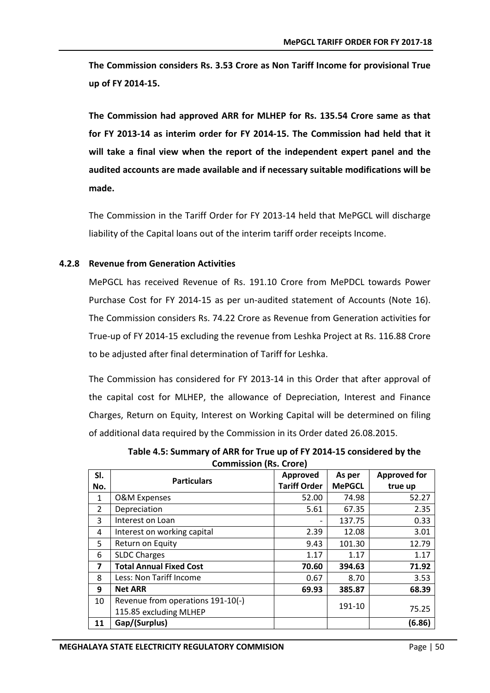**The Commission considers Rs. 3.53 Crore as Non Tariff Income for provisional True up of FY 2014-15.**

**The Commission had approved ARR for MLHEP for Rs. 135.54 Crore same as that for FY 2013-14 as interim order for FY 2014-15. The Commission had held that it will take a final view when the report of the independent expert panel and the audited accounts are made available and if necessary suitable modifications will be made.**

The Commission in the Tariff Order for FY 2013-14 held that MePGCL will discharge liability of the Capital loans out of the interim tariff order receipts Income.

#### <span id="page-54-0"></span>**4.2.8 Revenue from Generation Activities**

MePGCL has received Revenue of Rs. 191.10 Crore from MePDCL towards Power Purchase Cost for FY 2014-15 as per un-audited statement of Accounts (Note 16). The Commission considers Rs. 74.22 Crore as Revenue from Generation activities for True-up of FY 2014-15 excluding the revenue from Leshka Project at Rs. 116.88 Crore to be adjusted after final determination of Tariff for Leshka.

The Commission has considered for FY 2013-14 in this Order that after approval of the capital cost for MLHEP, the allowance of Depreciation, Interest and Finance Charges, Return on Equity, Interest on Working Capital will be determined on filing of additional data required by the Commission in its Order dated 26.08.2015.

**Table 4.5: Summary of ARR for True up of FY 2014-15 considered by the Commission (Rs. Crore)**

<span id="page-54-1"></span>

| SI.                     | <b>Particulars</b>                | Approved            | As per        | <b>Approved for</b> |
|-------------------------|-----------------------------------|---------------------|---------------|---------------------|
| No.                     |                                   | <b>Tariff Order</b> | <b>MePGCL</b> | true up             |
| $\mathbf{1}$            | <b>O&amp;M Expenses</b>           | 52.00               | 74.98         | 52.27               |
| $\overline{2}$          | Depreciation                      | 5.61                | 67.35         | 2.35                |
| 3                       | Interest on Loan                  | -                   | 137.75        | 0.33                |
| 4                       | Interest on working capital       | 2.39                | 12.08         | 3.01                |
| 5                       | Return on Equity                  | 9.43                | 101.30        | 12.79               |
| 6                       | <b>SLDC Charges</b>               | 1.17                | 1.17          | 1.17                |
| $\overline{\mathbf{z}}$ | <b>Total Annual Fixed Cost</b>    | 70.60               | 394.63        | 71.92               |
| 8                       | Less: Non Tariff Income           | 0.67                | 8.70          | 3.53                |
| 9                       | <b>Net ARR</b>                    | 69.93               | 385.87        | 68.39               |
| 10                      | Revenue from operations 191-10(-) |                     | 191-10        |                     |
|                         | 115.85 excluding MLHEP            |                     |               | 75.25               |
| 11                      | Gap/(Surplus)                     |                     |               | (6.86)              |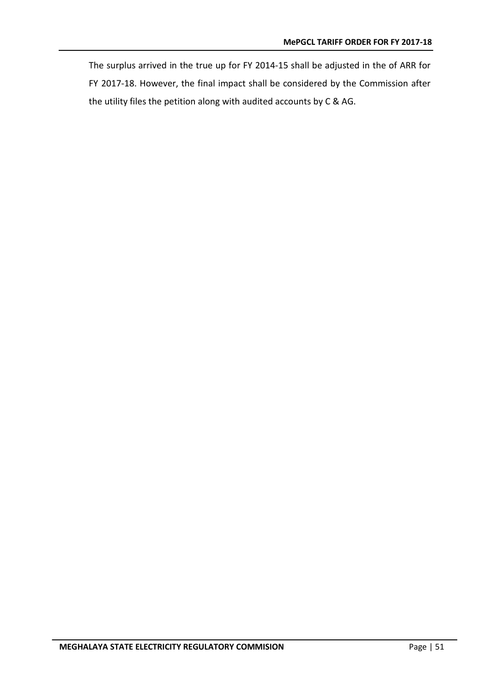The surplus arrived in the true up for FY 2014-15 shall be adjusted in the of ARR for FY 2017-18. However, the final impact shall be considered by the Commission after the utility files the petition along with audited accounts by C & AG.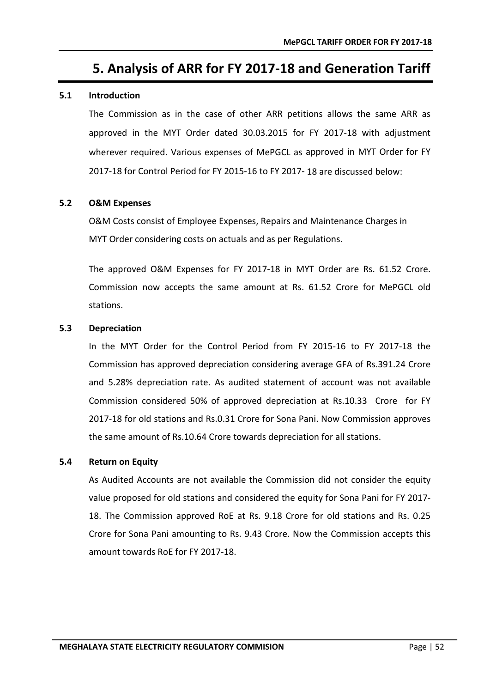# **5. Analysis of ARR for FY 2017-18 and Generation Tariff**

#### <span id="page-56-1"></span><span id="page-56-0"></span>**5.1 Introduction**

The Commission as in the case of other ARR petitions allows the same ARR as approved in the MYT Order dated 30.03.2015 for FY 2017-18 with adjustment wherever required. Various expenses of MePGCL as approved in MYT Order for FY 2017-18 for Control Period for FY 2015-16 to FY 2017- 18 are discussed below:

#### <span id="page-56-2"></span>**5.2 O&M Expenses**

O&M Costs consist of Employee Expenses, Repairs and Maintenance Charges in MYT Order considering costs on actuals and as per Regulations.

The approved O&M Expenses for FY 2017-18 in MYT Order are Rs. 61.52 Crore. Commission now accepts the same amount at Rs. 61.52 Crore for MePGCL old stations.

#### <span id="page-56-3"></span>**5.3 Depreciation**

In the MYT Order for the Control Period from FY 2015-16 to FY 2017-18 the Commission has approved depreciation considering average GFA of [Rs.391.24 Cr](http://Rs.391.24)ore and 5.28% depreciation rate. As audited statement of account was not available Commission considered 50% of approved depreciation at [Rs.10.33 Crore](http://Rs.10.33) for FY 2017-18 for old stations and Rs.0.31 Crore for Sona Pani. Now Commission approves the same amount of [Rs.10.64 Cr](http://Rs.10.64)ore towards depreciation for all stations.

#### <span id="page-56-4"></span>**5.4 Return on Equity**

As Audited Accounts are not available the Commission did not consider the equity value proposed for old stations and considered the equity for Sona Pani for FY 2017- 18. The Commission approved RoE at Rs. 9.18 Crore for old stations and Rs. 0.25 Crore for Sona Pani amounting to Rs. 9.43 Crore. Now the Commission accepts this amount towards RoE for FY 2017-18.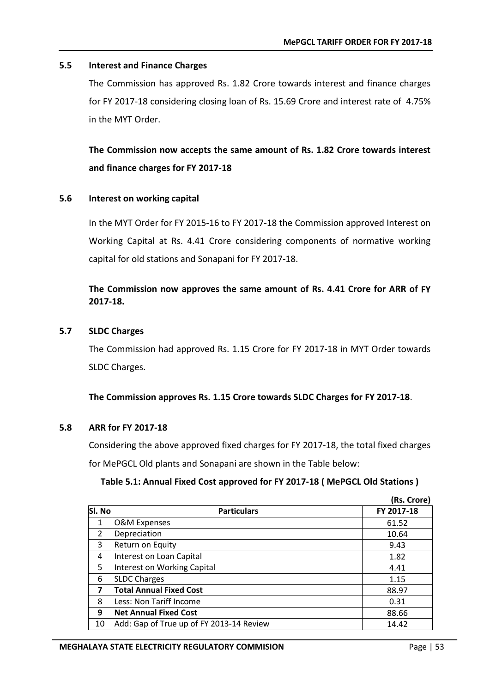#### <span id="page-57-0"></span>**5.5 Interest and Finance Charges**

The Commission has approved Rs. 1.82 Crore towards interest and finance charges for FY 2017-18 considering closing loan of Rs. 15.69 Crore and interest rate of 4.75% in the MYT Order.

**The Commission now accepts the same amount of Rs. 1.82 Crore towards interest and finance charges for FY 2017-18**

#### <span id="page-57-1"></span>**5.6 Interest on working capital**

In the MYT Order for FY 2015-16 to FY 2017-18 the Commission approved Interest on Working Capital at Rs. 4.41 Crore considering components of normative working capital for old stations and Sonapani for FY 2017-18.

#### **The Commission now approves the same amount of Rs. 4.41 Crore for ARR of FY 2017-18.**

#### <span id="page-57-2"></span>**5.7 SLDC Charges**

The Commission had approved Rs. 1.15 Crore for FY 2017-18 in MYT Order towards SLDC Charges.

**The Commission approves Rs. 1.15 Crore towards SLDC Charges for FY 2017-18**.

#### <span id="page-57-3"></span>**5.8 ARR for FY 2017-18**

Considering the above approved fixed charges for FY 2017-18, the total fixed charges for MePGCL Old plants and Sonapani are shown in the Table below:

#### **Table 5.1: Annual Fixed Cost approved for FY 2017-18 ( MePGCL Old Stations )**

<span id="page-57-4"></span>

|                |                                          | (Rs. Crore) |
|----------------|------------------------------------------|-------------|
| Sl. No         | <b>Particulars</b>                       | FY 2017-18  |
| $\mathbf{1}$   | <b>O&amp;M Expenses</b>                  | 61.52       |
| $\overline{2}$ | Depreciation                             | 10.64       |
| 3              | Return on Equity                         | 9.43        |
| 4              | Interest on Loan Capital                 | 1.82        |
| 5              | Interest on Working Capital              | 4.41        |
| 6              | <b>SLDC Charges</b>                      | 1.15        |
| 7              | <b>Total Annual Fixed Cost</b>           | 88.97       |
| 8              | Less: Non Tariff Income                  | 0.31        |
| 9              | <b>Net Annual Fixed Cost</b>             | 88.66       |
| 10             | Add: Gap of True up of FY 2013-14 Review | 14.42       |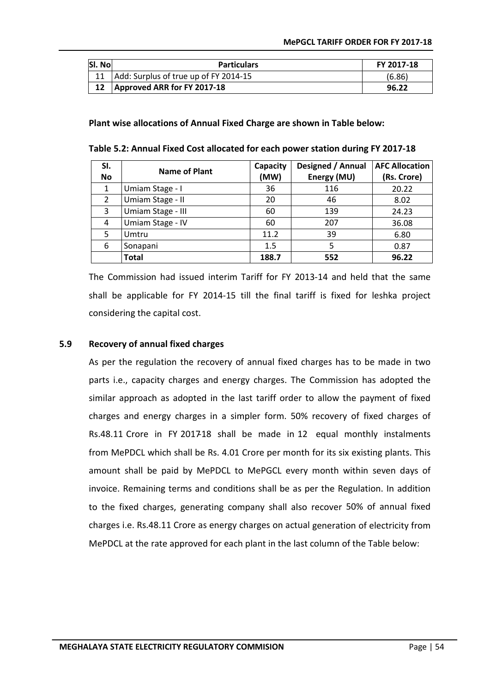| SI. No | <b>Particulars</b>                       | FY 2017-18 |
|--------|------------------------------------------|------------|
|        | 11 Add: Surplus of true up of FY 2014-15 | (6.86)     |
|        | Approved ARR for FY 2017-18              | 96.22      |

**Plant wise allocations of Annual Fixed Charge are shown in Table below:**

<span id="page-58-1"></span>

| Table 5.2: Annual Fixed Cost allocated for each power station during FY 2017-18 |  |
|---------------------------------------------------------------------------------|--|
|---------------------------------------------------------------------------------|--|

| SI.       | Name of Plant     | Capacity | Designed / Annual | <b>AFC Allocation</b> |
|-----------|-------------------|----------|-------------------|-----------------------|
| <b>No</b> |                   | (MW)     | Energy (MU)       | (Rs. Crore)           |
| 1         | Umiam Stage - I   | 36       | 116               | 20.22                 |
| 2         | Umiam Stage - II  | 20       | 46                | 8.02                  |
| 3         | Umiam Stage - III | 60       | 139               | 24.23                 |
| 4         | Umiam Stage - IV  | 60       | 207               | 36.08                 |
| 5         | Umtru             | 11.2     | 39                | 6.80                  |
| 6         | Sonapani          | 1.5      | 5                 | 0.87                  |
|           | <b>Total</b>      | 188.7    | 552               | 96.22                 |

The Commission had issued interim Tariff for FY 2013-14 and held that the same shall be applicable for FY 2014-15 till the final tariff is fixed for leshka project considering the capital cost.

#### <span id="page-58-0"></span>**5.9 Recovery of annual fixed charges**

As per the regulation the recovery of annual fixed charges has to be made in two parts i.e., capacity charges and energy charges. The Commission has adopted the similar approach as adopted in the last tariff order to allow the payment of fixed charges and energy charges in a simpler form. 50% recovery of fixed charges o[f](http://Rs.42.44) [Rs.48.11](http://Rs.42.44) Crore in FY 2017-18 shall be made in 12 equal monthly instalments from MePDCL which shall be Rs. 4.01 Crore per month for its six existing plants. This amount shall be paid by MePDCL to MePGCL every month within seven days of invoice. Remaining terms and conditions shall be as per the Regulation. In addition to the fixed charges, generating company shall also recover 50% of annual fixed charges i.e. [Rs.48.11](http://Rs.42.44) Crore as energy charges on actual generation of electricity from MePDCL at the rate approved for each plant in the last column of the Table below: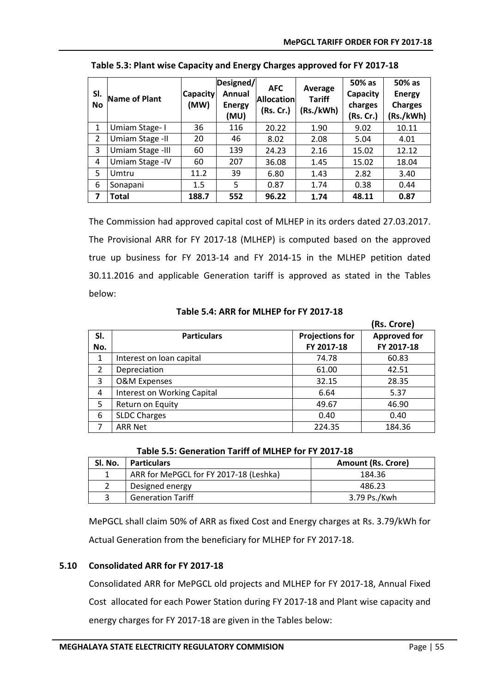| SI.<br><b>No</b> | <b>Name of Plant</b> | Capacity<br>(MW) | Designed/<br>Annual<br><b>Energy</b><br>(MU) | <b>AFC</b><br><b>Allocation</b><br>(Rs. Cr.) | Average<br><b>Tariff</b><br>(Rs./kWh) | 50% as<br>Capacity<br>charges<br>(Rs. Cr.) | 50% as<br><b>Energy</b><br><b>Charges</b><br>(Rs./kWh) |
|------------------|----------------------|------------------|----------------------------------------------|----------------------------------------------|---------------------------------------|--------------------------------------------|--------------------------------------------------------|
| 1                | Umiam Stage-1        | 36               | 116                                          | 20.22                                        | 1.90                                  | 9.02                                       | 10.11                                                  |
| $\overline{2}$   | Umiam Stage - II     | 20               | 46                                           | 8.02                                         | 2.08                                  | 5.04                                       | 4.01                                                   |
| 3                | Umiam Stage -III     | 60               | 139                                          | 24.23                                        | 2.16                                  | 15.02                                      | 12.12                                                  |
| 4                | Umiam Stage - IV     | 60               | 207                                          | 36.08                                        | 1.45                                  | 15.02                                      | 18.04                                                  |
| 5                | Umtru                | 11.2             | 39                                           | 6.80                                         | 1.43                                  | 2.82                                       | 3.40                                                   |
| 6                | Sonapani             | 1.5              | 5                                            | 0.87                                         | 1.74                                  | 0.38                                       | 0.44                                                   |
| 7                | <b>Total</b>         | 188.7            | 552                                          | 96.22                                        | 1.74                                  | 48.11                                      | 0.87                                                   |

<span id="page-59-1"></span>**Table 5.3: Plant wise Capacity and Energy Charges approved for FY 2017-18**

The Commission had approved capital cost of MLHEP in its orders dated 27.03.2017. The Provisional ARR for FY 2017-18 (MLHEP) is computed based on the approved true up business for FY 2013-14 and FY 2014-15 in the MLHEP petition dated 30.11.2016 and applicable Generation tariff is approved as stated in the Tables below:

**Table 5.4: ARR for MLHEP for FY 2017-18**

<span id="page-59-2"></span>

|     |                             |                        | (Rs. Crore)         |  |  |
|-----|-----------------------------|------------------------|---------------------|--|--|
| SI. | <b>Particulars</b>          | <b>Projections for</b> | <b>Approved for</b> |  |  |
| No. |                             | FY 2017-18             | FY 2017-18          |  |  |
| 1   | Interest on loan capital    | 74.78                  | 60.83               |  |  |
| 2   | Depreciation                | 61.00                  | 42.51               |  |  |
| 3   | <b>O&amp;M Expenses</b>     | 32.15                  | 28.35               |  |  |
| 4   | Interest on Working Capital | 6.64                   | 5.37                |  |  |
| 5   | Return on Equity            | 49.67                  | 46.90               |  |  |
| 6   | <b>SLDC Charges</b>         | 0.40                   | 0.40                |  |  |
| 7   | <b>ARR Net</b>              | 224.35                 | 184.36              |  |  |

<span id="page-59-3"></span>

| Sl. No. | <b>Particulars</b>                     | <b>Amount (Rs. Crore)</b> |
|---------|----------------------------------------|---------------------------|
|         | ARR for MePGCL for FY 2017-18 (Leshka) | 184.36                    |
|         | Designed energy                        | 486.23                    |
|         | <b>Generation Tariff</b>               | 3.79 Ps./Kwh              |

**Table 5.5: Generation Tariff of MLHEP for FY 2017-18**

MePGCL shall claim 50% of ARR as fixed Cost and Energy charges at Rs. 3.79/kWh for Actual Generation from the beneficiary for MLHEP for FY 2017-18.

#### <span id="page-59-0"></span>**5.10 Consolidated ARR for FY 2017-18**

Consolidated ARR for MePGCL old projects and MLHEP for FY 2017-18, Annual Fixed Cost allocated for each Power Station during FY 2017-18 and Plant wise capacity and energy charges for FY 2017-18 are given in the Tables below: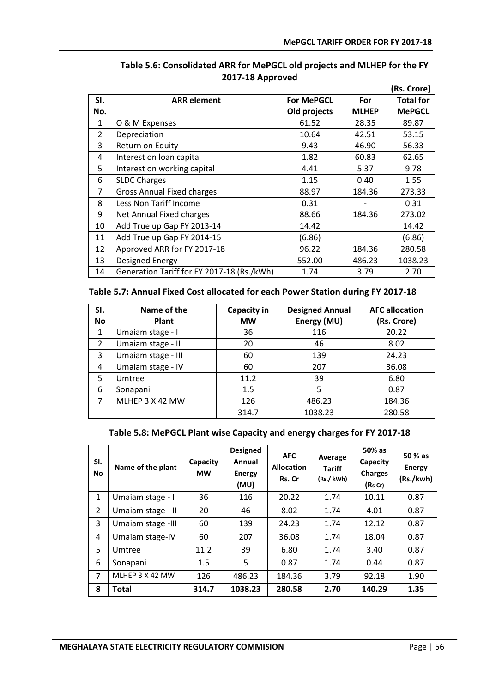<span id="page-60-0"></span>

|                |                                            |                   |              | (Rs. Crore)      |
|----------------|--------------------------------------------|-------------------|--------------|------------------|
| SI.            | <b>ARR</b> element                         | <b>For MePGCL</b> | For          | <b>Total for</b> |
| No.            |                                            | Old projects      | <b>MLHEP</b> | <b>MePGCL</b>    |
| 1              | O & M Expenses                             | 61.52             | 28.35        | 89.87            |
| $\overline{2}$ | Depreciation                               | 10.64             | 42.51        | 53.15            |
| 3              | Return on Equity                           | 9.43              | 46.90        | 56.33            |
| 4              | Interest on loan capital                   | 1.82              | 60.83        | 62.65            |
| 5              | Interest on working capital                | 4.41              | 5.37         | 9.78             |
| 6              | <b>SLDC Charges</b>                        | 1.15              | 0.40         | 1.55             |
| $\overline{7}$ | <b>Gross Annual Fixed charges</b>          | 88.97             | 184.36       | 273.33           |
| 8              | Less Non Tariff Income                     | 0.31              |              | 0.31             |
| 9              | Net Annual Fixed charges                   | 88.66             | 184.36       | 273.02           |
| 10             | Add True up Gap FY 2013-14                 | 14.42             |              | 14.42            |
| 11             | Add True up Gap FY 2014-15                 | (6.86)            |              | (6.86)           |
| 12             | Approved ARR for FY 2017-18                | 96.22             | 184.36       | 280.58           |
| 13             | <b>Designed Energy</b>                     | 552.00            | 486.23       | 1038.23          |
| 14             | Generation Tariff for FY 2017-18 (Rs./kWh) | 1.74              | 3.79         | 2.70             |

#### **Table 5.6: Consolidated ARR for MePGCL old projects and MLHEP for the FY 2017-18 Approved**

#### <span id="page-60-1"></span>**Table 5.7: Annual Fixed Cost allocated for each Power Station during FY 2017-18**

| SI.<br><b>No</b> | Name of the<br>Plant | <b>Capacity in</b><br><b>MW</b> | <b>Designed Annual</b><br>Energy (MU) | <b>AFC allocation</b><br>(Rs. Crore) |
|------------------|----------------------|---------------------------------|---------------------------------------|--------------------------------------|
|                  |                      |                                 |                                       |                                      |
| 1                | Umaiam stage - I     | 36                              | 116                                   | 20.22                                |
| 2                | Umaiam stage - II    | 20                              | 46                                    | 8.02                                 |
| 3                | Umaiam stage - III   | 60                              | 139                                   | 24.23                                |
| 4                | Umaiam stage - IV    | 60                              | 207                                   | 36.08                                |
| 5                | Umtree               | 11.2                            | 39                                    | 6.80                                 |
| 6                | Sonapani             | 1.5                             | 5                                     | 0.87                                 |
| 7                | MLHEP 3 X 42 MW      | 126                             | 486.23                                | 184.36                               |
|                  |                      | 314.7                           | 1038.23                               | 280.58                               |

#### **Table 5.8: MePGCL Plant wise Capacity and energy charges for FY 2017-18**

<span id="page-60-2"></span>

| SI.<br>No      | Name of the plant | Capacity<br><b>MW</b> | <b>Designed</b><br>Annual<br><b>Energy</b><br>(MU) | <b>AFC</b><br><b>Allocation</b><br>Rs. Cr | Average<br><b>Tariff</b><br>(Rs./kWh) | 50% as<br>Capacity<br><b>Charges</b><br>(Rs Cr) | 50 % as<br><b>Energy</b><br>(Rs./kwh) |
|----------------|-------------------|-----------------------|----------------------------------------------------|-------------------------------------------|---------------------------------------|-------------------------------------------------|---------------------------------------|
| 1              | Umaiam stage - I  | 36                    | 116                                                | 20.22                                     | 1.74                                  | 10.11                                           | 0.87                                  |
| $\overline{2}$ | Umaiam stage - II | 20                    | 46                                                 | 8.02                                      | 1.74                                  | 4.01                                            | 0.87                                  |
| 3              | Umaiam stage -III | 60                    | 139                                                | 24.23                                     | 1.74                                  | 12.12                                           | 0.87                                  |
| 4              | Umaiam stage-IV   | 60                    | 207                                                | 36.08                                     | 1.74                                  | 18.04                                           | 0.87                                  |
| 5              | Umtree            | 11.2                  | 39                                                 | 6.80                                      | 1.74                                  | 3.40                                            | 0.87                                  |
| 6              | Sonapani          | 1.5                   | 5                                                  | 0.87                                      | 1.74                                  | 0.44                                            | 0.87                                  |
| $\overline{7}$ | MLHEP 3 X 42 MW   | 126                   | 486.23                                             | 184.36                                    | 3.79                                  | 92.18                                           | 1.90                                  |
| 8              | Total             | 314.7                 | 1038.23                                            | 280.58                                    | 2.70                                  | 140.29                                          | 1.35                                  |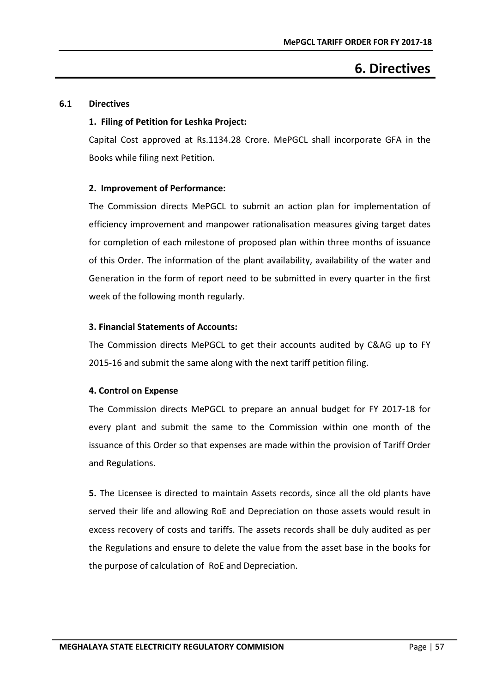## **6. Directives**

#### <span id="page-61-1"></span><span id="page-61-0"></span>**6.1 Directives**

#### **1. Filing of Petition for Leshka Project:**

Capital Cost approved at Rs.1134.28 Crore. MePGCL shall incorporate GFA in the Books while filing next Petition.

#### **2. Improvement of Performance:**

The Commission directs MePGCL to submit an action plan for implementation of efficiency improvement and manpower rationalisation measures giving target dates for completion of each milestone of proposed plan within three months of issuance of this Order. The information of the plant availability, availability of the water and Generation in the form of report need to be submitted in every quarter in the first week of the following month regularly.

#### **3. Financial Statements of Accounts:**

The Commission directs MePGCL to get their accounts audited by C&AG up to FY 2015-16 and submit the same along with the next tariff petition filing.

#### **4. Control on Expense**

The Commission directs MePGCL to prepare an annual budget for FY 2017-18 for every plant and submit the same to the Commission within one month of the issuance of this Order so that expenses are made within the provision of Tariff Order and Regulations.

**5.** The Licensee is directed to maintain Assets records, since all the old plants have served their life and allowing RoE and Depreciation on those assets would result in excess recovery of costs and tariffs. The assets records shall be duly audited as per the Regulations and ensure to delete the value from the asset base in the books for the purpose of calculation of RoE and Depreciation.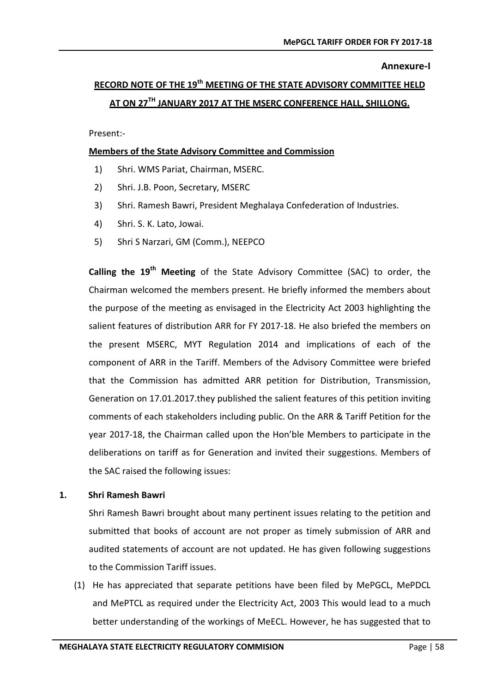#### **Annexure-I**

# <span id="page-62-0"></span>**RECORD NOTE OF THE 19th MEETING OF THE STATE ADVISORY COMMITTEE HELD AT ON 27TH JANUARY 2017 AT THE MSERC CONFERENCE HALL, SHILLONG.**

Present:-

#### **Members of the State Advisory Committee and Commission**

- 1) Shri. WMS Pariat, Chairman, MSERC.
- 2) Shri. J.B. Poon, Secretary, MSERC
- 3) Shri. Ramesh Bawri, President Meghalaya Confederation of Industries.
- 4) Shri. S. K. Lato, Jowai.
- 5) Shri S Narzari, GM (Comm.), NEEPCO

**Calling the 19th Meeting** of the State Advisory Committee (SAC) to order, the Chairman welcomed the members present. He briefly informed the members about the purpose of the meeting as envisaged in the Electricity Act 2003 highlighting the salient features of distribution ARR for FY 2017-18. He also briefed the members on the present MSERC, MYT Regulation 2014 and implications of each of the component of ARR in the Tariff. Members of the Advisory Committee were briefed that the Commission has admitted ARR petition for Distribution, Transmission, Generation on 17.01.2017.they published the salient features of this petition inviting comments of each stakeholders including public. On the ARR & Tariff Petition for the year 2017-18, the Chairman called upon the Hon'ble Members to participate in the deliberations on tariff as for Generation and invited their suggestions. Members of the SAC raised the following issues:

#### **1. Shri Ramesh Bawri**

Shri Ramesh Bawri brought about many pertinent issues relating to the petition and submitted that books of account are not proper as timely submission of ARR and audited statements of account are not updated. He has given following suggestions to the Commission Tariff issues.

(1) He has appreciated that separate petitions have been filed by MePGCL, MePDCL and MePTCL as required under the Electricity Act, 2003 This would lead to a much better understanding of the workings of MeECL. However, he has suggested that to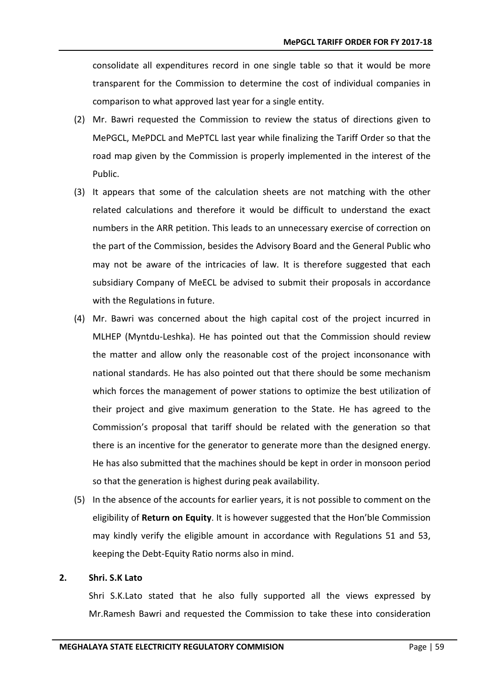consolidate all expenditures record in one single table so that it would be more transparent for the Commission to determine the cost of individual companies in comparison to what approved last year for a single entity.

- (2) Mr. Bawri requested the Commission to review the status of directions given to MePGCL, MePDCL and MePTCL last year while finalizing the Tariff Order so that the road map given by the Commission is properly implemented in the interest of the Public.
- (3) It appears that some of the calculation sheets are not matching with the other related calculations and therefore it would be difficult to understand the exact numbers in the ARR petition. This leads to an unnecessary exercise of correction on the part of the Commission, besides the Advisory Board and the General Public who may not be aware of the intricacies of law. It is therefore suggested that each subsidiary Company of MeECL be advised to submit their proposals in accordance with the Regulations in future.
- (4) Mr. Bawri was concerned about the high capital cost of the project incurred in MLHEP (Myntdu-Leshka). He has pointed out that the Commission should review the matter and allow only the reasonable cost of the project inconsonance with national standards. He has also pointed out that there should be some mechanism which forces the management of power stations to optimize the best utilization of their project and give maximum generation to the State. He has agreed to the Commission's proposal that tariff should be related with the generation so that there is an incentive for the generator to generate more than the designed energy. He has also submitted that the machines should be kept in order in monsoon period so that the generation is highest during peak availability.
- (5) In the absence of the accounts for earlier years, it is not possible to comment on the eligibility of **Return on Equity**. It is however suggested that the Hon'ble Commission may kindly verify the eligible amount in accordance with Regulations 51 and 53, keeping the Debt-Equity Ratio norms also in mind.

#### **2. Shri. S.K Lato**

Shri S.K.Lato stated that he also fully supported all the views expressed by Mr.Ramesh Bawri and requested the Commission to take these into consideration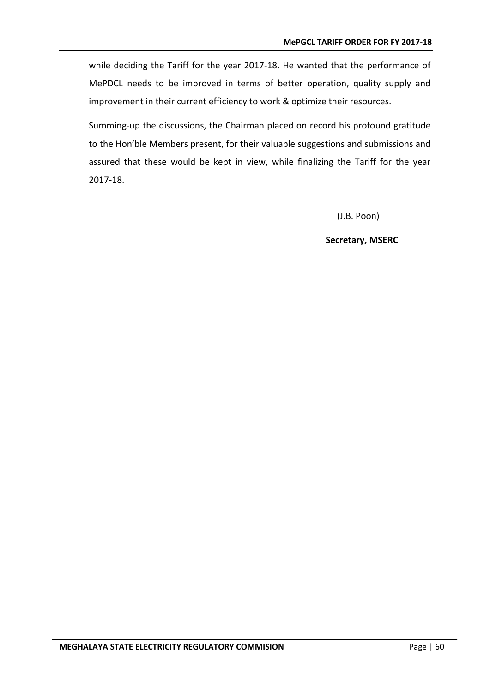while deciding the Tariff for the year 2017-18. He wanted that the performance of MePDCL needs to be improved in terms of better operation, quality supply and improvement in their current efficiency to work & optimize their resources.

Summing-up the discussions, the Chairman placed on record his profound gratitude to the Hon'ble Members present, for their valuable suggestions and submissions and assured that these would be kept in view, while finalizing the Tariff for the year 2017-18.

(J.B. Poon)

**Secretary, MSERC**